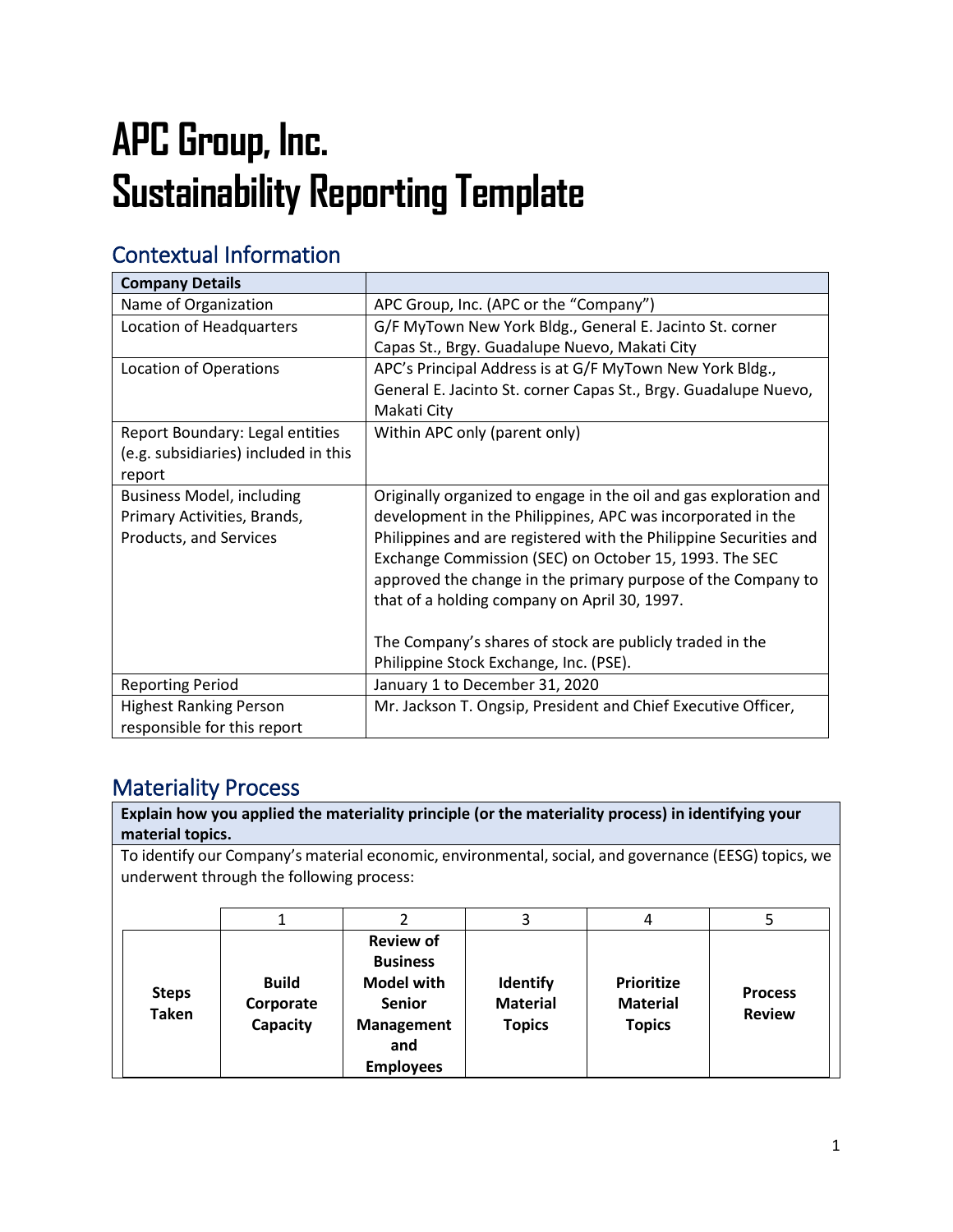# **APC Group, Inc. Sustainability Reporting Template**

# Contextual Information

| <b>Company Details</b>               |                                                                   |
|--------------------------------------|-------------------------------------------------------------------|
| Name of Organization                 | APC Group, Inc. (APC or the "Company")                            |
| <b>Location of Headquarters</b>      | G/F MyTown New York Bldg., General E. Jacinto St. corner          |
|                                      | Capas St., Brgy. Guadalupe Nuevo, Makati City                     |
| <b>Location of Operations</b>        | APC's Principal Address is at G/F MyTown New York Bldg.,          |
|                                      | General E. Jacinto St. corner Capas St., Brgy. Guadalupe Nuevo,   |
|                                      | Makati City                                                       |
| Report Boundary: Legal entities      | Within APC only (parent only)                                     |
| (e.g. subsidiaries) included in this |                                                                   |
| report                               |                                                                   |
| <b>Business Model, including</b>     | Originally organized to engage in the oil and gas exploration and |
| Primary Activities, Brands,          | development in the Philippines, APC was incorporated in the       |
| Products, and Services               | Philippines and are registered with the Philippine Securities and |
|                                      | Exchange Commission (SEC) on October 15, 1993. The SEC            |
|                                      | approved the change in the primary purpose of the Company to      |
|                                      | that of a holding company on April 30, 1997.                      |
|                                      |                                                                   |
|                                      | The Company's shares of stock are publicly traded in the          |
|                                      | Philippine Stock Exchange, Inc. (PSE).                            |
| <b>Reporting Period</b>              | January 1 to December 31, 2020                                    |
| <b>Highest Ranking Person</b>        | Mr. Jackson T. Ongsip, President and Chief Executive Officer,     |
| responsible for this report          |                                                                   |

# Materiality Process

| Explain how you applied the materiality principle (or the materiality process) in identifying your<br>material topics.                           |                                       |                                                                                                                    |                                                     |                                                       |                                 |
|--------------------------------------------------------------------------------------------------------------------------------------------------|---------------------------------------|--------------------------------------------------------------------------------------------------------------------|-----------------------------------------------------|-------------------------------------------------------|---------------------------------|
| To identify our Company's material economic, environmental, social, and governance (EESG) topics, we<br>underwent through the following process: |                                       |                                                                                                                    |                                                     |                                                       |                                 |
|                                                                                                                                                  |                                       |                                                                                                                    | 3                                                   | 4                                                     | 5                               |
| <b>Steps</b><br><b>Taken</b>                                                                                                                     | <b>Build</b><br>Corporate<br>Capacity | <b>Review of</b><br><b>Business</b><br><b>Model with</b><br><b>Senior</b><br>Management<br>and<br><b>Employees</b> | <b>Identify</b><br><b>Material</b><br><b>Topics</b> | <b>Prioritize</b><br><b>Material</b><br><b>Topics</b> | <b>Process</b><br><b>Review</b> |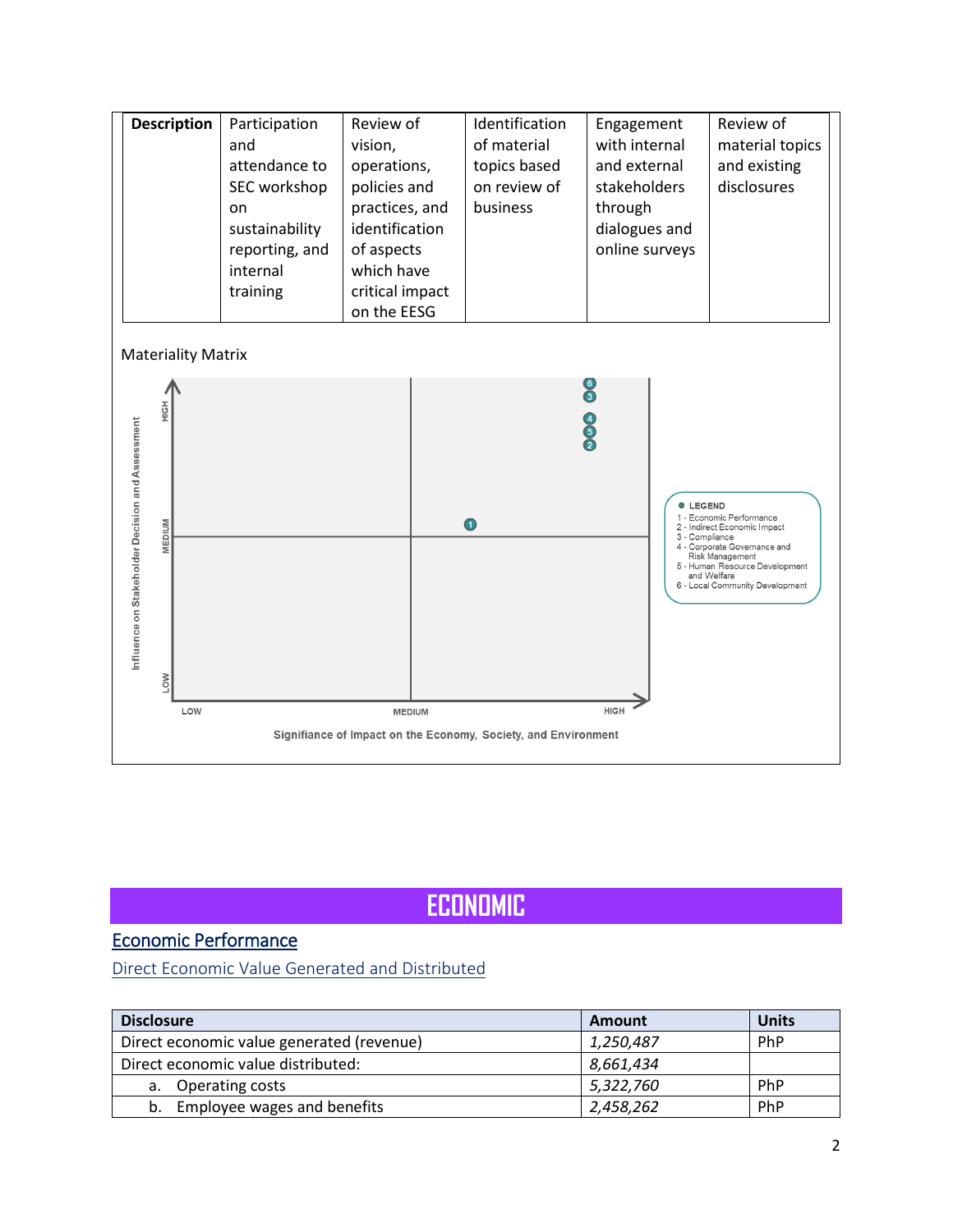

# **ECONOMIC**

### Economic Performance

[Direct Economic Value Generated and Distributed](#page-8-0)

| <b>Disclosure</b>                         | Amount    | Units      |
|-------------------------------------------|-----------|------------|
| Direct economic value generated (revenue) | 1,250,487 | <b>PhP</b> |
| Direct economic value distributed:        | 8,661,434 |            |
| a. Operating costs                        | 5,322,760 | PhP        |
| Employee wages and benefits<br>b.         | 2,458,262 | PhP        |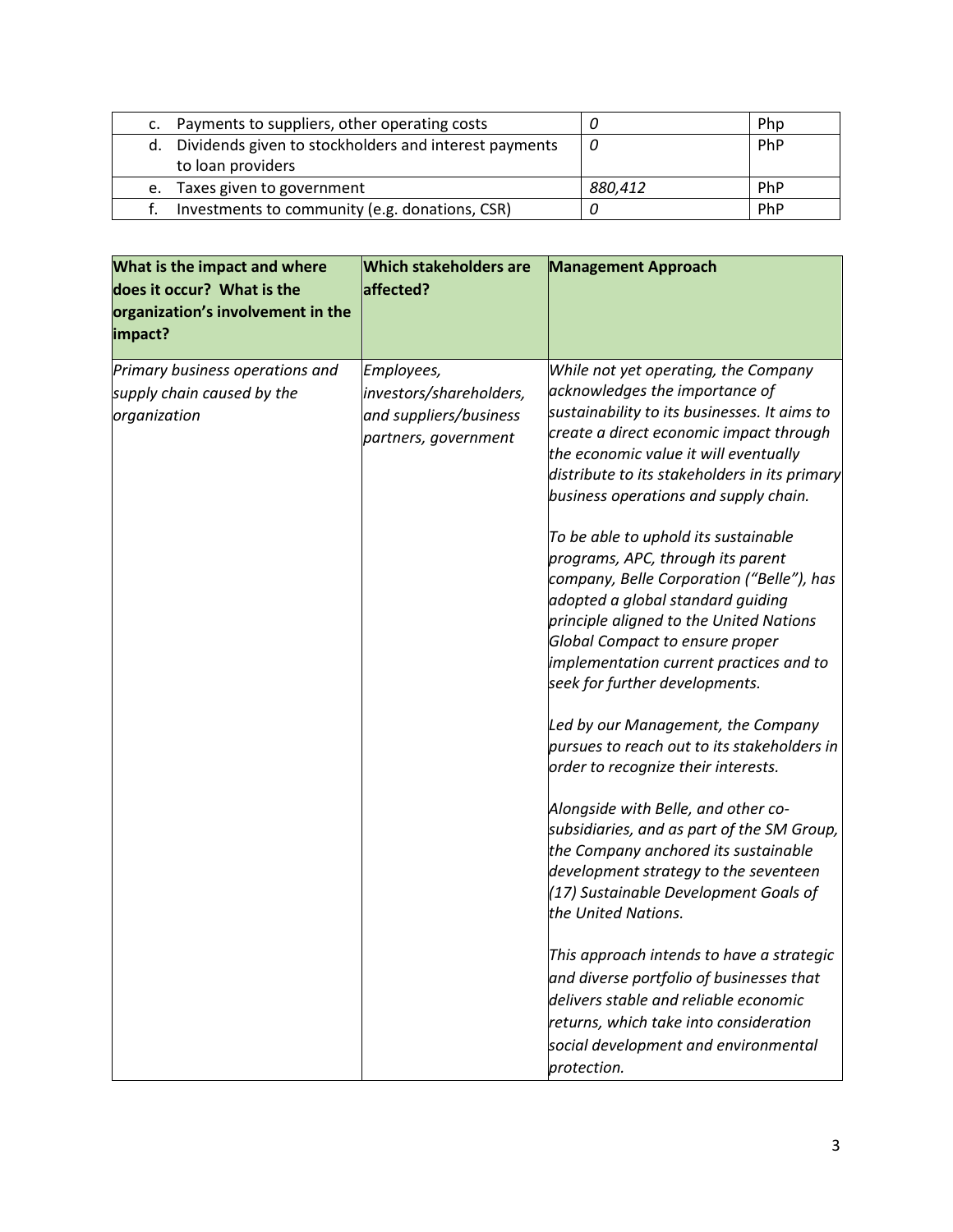|    | Payments to suppliers, other operating costs             |         | Php |
|----|----------------------------------------------------------|---------|-----|
|    | d. Dividends given to stockholders and interest payments |         | PhP |
|    | to loan providers                                        |         |     |
| e. | Taxes given to government                                | 880.412 | PhP |
|    | Investments to community (e.g. donations, CSR)           |         | PhP |

| What is the impact and where<br>does it occur? What is the<br>organization's involvement in the<br>impact? | <b>Which stakeholders are</b><br>affected?                                              | <b>Management Approach</b>                                                                                                                                                                                                                                                                                                                                                                                                                                                                                                                                                                                                                                                                                                                                                                                                                                                                                                                                                                       |
|------------------------------------------------------------------------------------------------------------|-----------------------------------------------------------------------------------------|--------------------------------------------------------------------------------------------------------------------------------------------------------------------------------------------------------------------------------------------------------------------------------------------------------------------------------------------------------------------------------------------------------------------------------------------------------------------------------------------------------------------------------------------------------------------------------------------------------------------------------------------------------------------------------------------------------------------------------------------------------------------------------------------------------------------------------------------------------------------------------------------------------------------------------------------------------------------------------------------------|
| Primary business operations and<br>supply chain caused by the<br>organization                              | Employees,<br>investors/shareholders,<br>and suppliers/business<br>partners, government | While not yet operating, the Company<br>acknowledges the importance of<br>sustainability to its businesses. It aims to<br>create a direct economic impact through<br>the economic value it will eventually<br>distribute to its stakeholders in its primary<br>business operations and supply chain.<br>To be able to uphold its sustainable<br>programs, APC, through its parent<br>company, Belle Corporation ("Belle"), has<br>adopted a global standard guiding<br>principle aligned to the United Nations<br>Global Compact to ensure proper<br>implementation current practices and to<br>seek for further developments.<br>Led by our Management, the Company<br>pursues to reach out to its stakeholders in<br>order to recognize their interests.<br>Alongside with Belle, and other co-<br>subsidiaries, and as part of the SM Group,<br>the Company anchored its sustainable<br>development strategy to the seventeen<br>(17) Sustainable Development Goals of<br>the United Nations. |
|                                                                                                            |                                                                                         | This approach intends to have a strategic<br>and diverse portfolio of businesses that<br>delivers stable and reliable economic<br>returns, which take into consideration<br>social development and environmental<br>protection.                                                                                                                                                                                                                                                                                                                                                                                                                                                                                                                                                                                                                                                                                                                                                                  |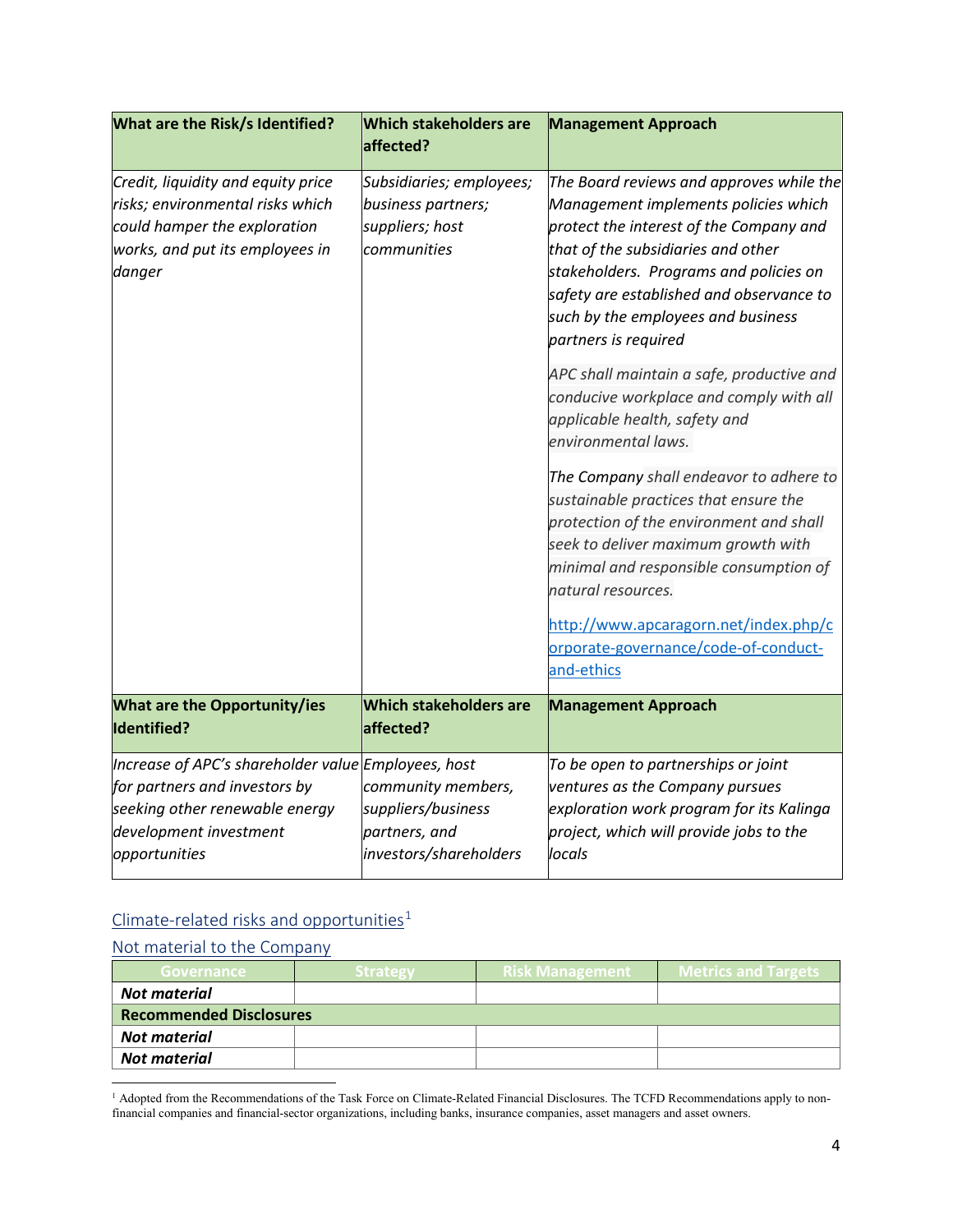| What are the Risk/s Identified?                                                                                                                                   | <b>Which stakeholders are</b><br>affected?                                          | <b>Management Approach</b>                                                                                                                                                                                                                                                                                                                                                                                                                                                                                                                                                                                                                                                                                                                                                                                 |
|-------------------------------------------------------------------------------------------------------------------------------------------------------------------|-------------------------------------------------------------------------------------|------------------------------------------------------------------------------------------------------------------------------------------------------------------------------------------------------------------------------------------------------------------------------------------------------------------------------------------------------------------------------------------------------------------------------------------------------------------------------------------------------------------------------------------------------------------------------------------------------------------------------------------------------------------------------------------------------------------------------------------------------------------------------------------------------------|
| Credit, liquidity and equity price<br>risks; environmental risks which<br>could hamper the exploration<br>works, and put its employees in<br>danger               | Subsidiaries; employees;<br>business partners;<br>suppliers; host<br>communities    | The Board reviews and approves while the<br>Management implements policies which<br>protect the interest of the Company and<br>that of the subsidiaries and other<br>stakeholders. Programs and policies on<br>safety are established and observance to<br>such by the employees and business<br>partners is required<br>APC shall maintain a safe, productive and<br>conducive workplace and comply with all<br>applicable health, safety and<br>environmental laws.<br>The Company shall endeavor to adhere to<br>sustainable practices that ensure the<br>protection of the environment and shall<br>seek to deliver maximum growth with<br>minimal and responsible consumption of<br>natural resources.<br>http://www.apcaragorn.net/index.php/c<br>orporate-governance/code-of-conduct-<br>and-ethics |
| <b>What are the Opportunity/ies</b><br>Identified?                                                                                                                | <b>Which stakeholders are</b><br>affected?                                          | <b>Management Approach</b>                                                                                                                                                                                                                                                                                                                                                                                                                                                                                                                                                                                                                                                                                                                                                                                 |
| Increase of APC's shareholder value Employees, host<br>for partners and investors by<br>seeking other renewable energy<br>development investment<br>opportunities | community members,<br>suppliers/business<br>partners, and<br>investors/shareholders | To be open to partnerships or joint<br>ventures as the Company pursues<br>exploration work program for its Kalinga<br>project, which will provide jobs to the<br>locals                                                                                                                                                                                                                                                                                                                                                                                                                                                                                                                                                                                                                                    |

# $C$ limate-related risks and opportunities<sup>[1](#page-3-0)</sup>

| <b>Governance</b>              | <b>Strategy</b> | Risk Management | <b>Metrics and Targets</b> |
|--------------------------------|-----------------|-----------------|----------------------------|
| <b>Not material</b>            |                 |                 |                            |
| <b>Recommended Disclosures</b> |                 |                 |                            |
| <b>Not material</b>            |                 |                 |                            |
| Not material                   |                 |                 |                            |

<span id="page-3-0"></span> $\overline{a}$ <sup>1</sup> Adopted from the Recommendations of the Task Force on Climate-Related Financial Disclosures. The TCFD Recommendations apply to nonfinancial companies and financial-sector organizations, including banks, insurance companies, asset managers and asset owners.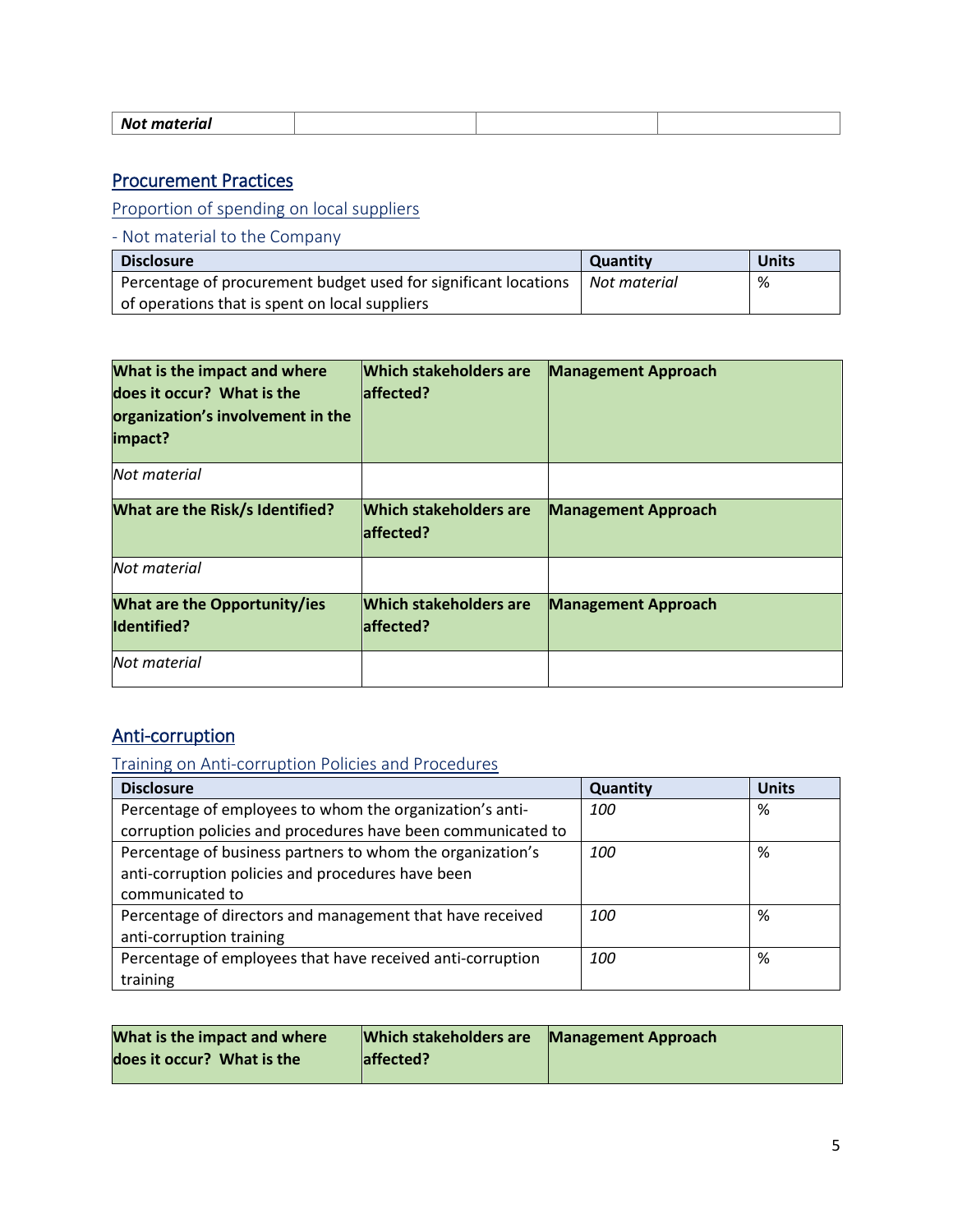### Procurement Practices

[Proportion of spending on local suppliers](#page-8-0) 

- Not material to the Company

| <b>Disclosure</b>                                               | <b>Quantity</b> | <b>Units</b> |
|-----------------------------------------------------------------|-----------------|--------------|
| Percentage of procurement budget used for significant locations | Not material    | %            |
| of operations that is spent on local suppliers                  |                 |              |

| What is the impact and where<br>does it occur? What is the<br>organization's involvement in the<br>impact? | <b>Which stakeholders are</b><br>laffected? | <b>Management Approach</b> |
|------------------------------------------------------------------------------------------------------------|---------------------------------------------|----------------------------|
| Not material                                                                                               |                                             |                            |
| What are the Risk/s Identified?                                                                            | <b>Which stakeholders are</b><br>laffected? | <b>Management Approach</b> |
| Not material                                                                                               |                                             |                            |
| <b>What are the Opportunity/ies</b><br><b>Identified?</b>                                                  | <b>Which stakeholders are</b><br>laffected? | <b>Management Approach</b> |
| Not material                                                                                               |                                             |                            |

### Anti-corruption

[Training on Anti-corruption Policies and Procedures](#page-8-0) 

| <b>Disclosure</b>                                            | Quantity   | <b>Units</b> |
|--------------------------------------------------------------|------------|--------------|
| Percentage of employees to whom the organization's anti-     | <i>100</i> | %            |
| corruption policies and procedures have been communicated to |            |              |
| Percentage of business partners to whom the organization's   | 100        | %            |
| anti-corruption policies and procedures have been            |            |              |
| communicated to                                              |            |              |
| Percentage of directors and management that have received    | 100        | %            |
| anti-corruption training                                     |            |              |
| Percentage of employees that have received anti-corruption   | 100        | %            |
| training                                                     |            |              |

| What is the impact and where | Which stakeholders are Management Approach |  |
|------------------------------|--------------------------------------------|--|
| does it occur? What is the   | affected?                                  |  |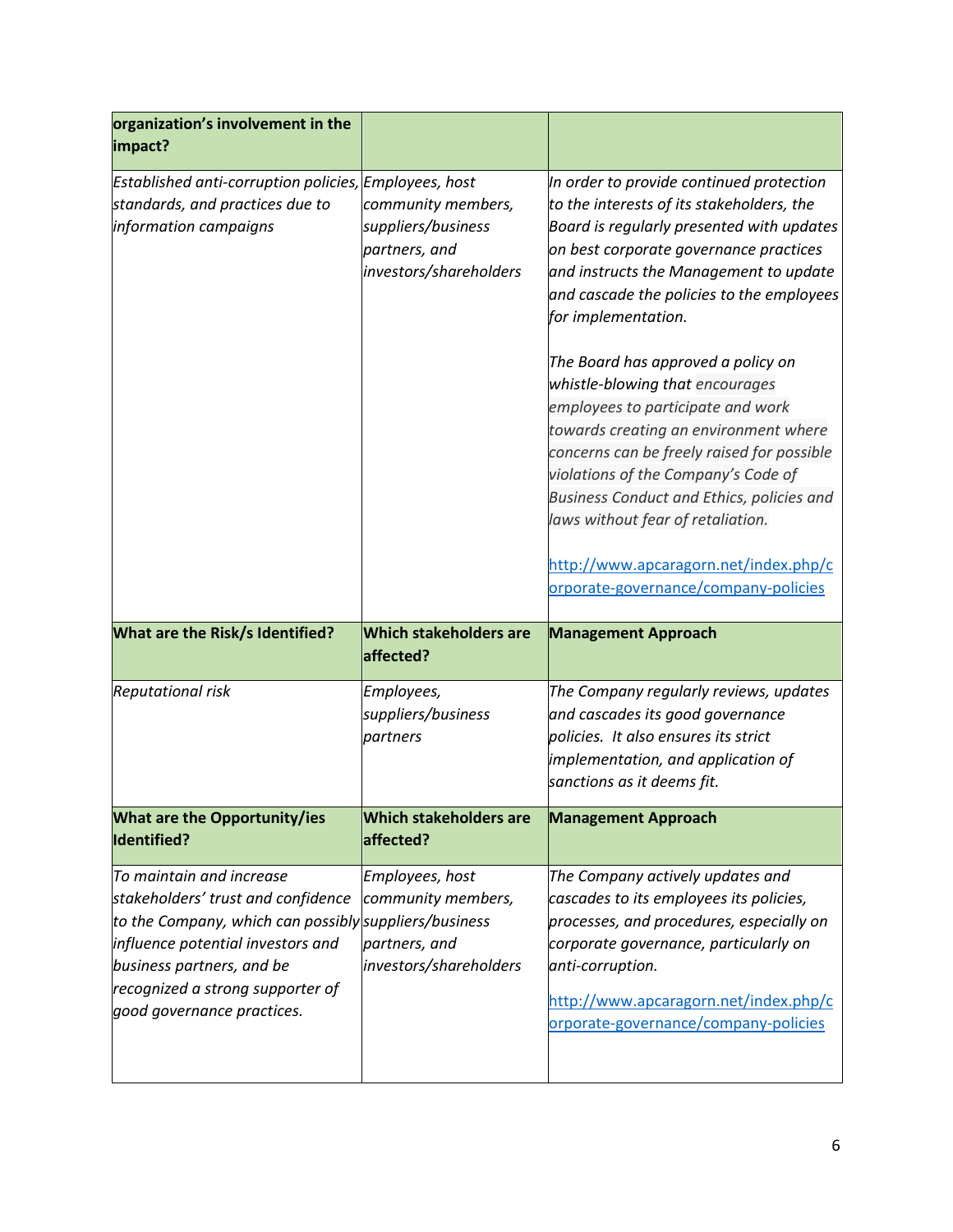| organization's involvement in the<br>impact?                                                                      |                                                                                     |                                                                                                                                                                                                                                                                                                                                                                                                                                                                                                                                                                                                                                                                                                           |
|-------------------------------------------------------------------------------------------------------------------|-------------------------------------------------------------------------------------|-----------------------------------------------------------------------------------------------------------------------------------------------------------------------------------------------------------------------------------------------------------------------------------------------------------------------------------------------------------------------------------------------------------------------------------------------------------------------------------------------------------------------------------------------------------------------------------------------------------------------------------------------------------------------------------------------------------|
| Established anti-corruption policies, Employees, host<br>standards, and practices due to<br>information campaigns | community members,<br>suppliers/business<br>partners, and<br>investors/shareholders | In order to provide continued protection<br>to the interests of its stakeholders, the<br>Board is regularly presented with updates<br>on best corporate governance practices<br>and instructs the Management to update<br>and cascade the policies to the employees<br>for implementation.<br>The Board has approved a policy on<br>whistle-blowing that encourages<br>employees to participate and work<br>towards creating an environment where<br>concerns can be freely raised for possible<br>violations of the Company's Code of<br>Business Conduct and Ethics, policies and<br>laws without fear of retaliation.<br>http://www.apcaragorn.net/index.php/c<br>orporate-governance/company-policies |
| What are the Risk/s Identified?                                                                                   |                                                                                     |                                                                                                                                                                                                                                                                                                                                                                                                                                                                                                                                                                                                                                                                                                           |
|                                                                                                                   | <b>Which stakeholders are</b><br>affected?                                          | <b>Management Approach</b>                                                                                                                                                                                                                                                                                                                                                                                                                                                                                                                                                                                                                                                                                |
| <b>Reputational risk</b>                                                                                          | Employees,<br>suppliers/business<br>partners                                        | The Company regularly reviews, updates<br>and cascades its good governance<br>policies. It also ensures its strict<br>implementation, and application of<br>sanctions as it deems fit.                                                                                                                                                                                                                                                                                                                                                                                                                                                                                                                    |
| What are the Opportunity/ies<br><b>Identified?</b>                                                                | <b>Which stakeholders are</b><br>affected?                                          | <b>Management Approach</b>                                                                                                                                                                                                                                                                                                                                                                                                                                                                                                                                                                                                                                                                                |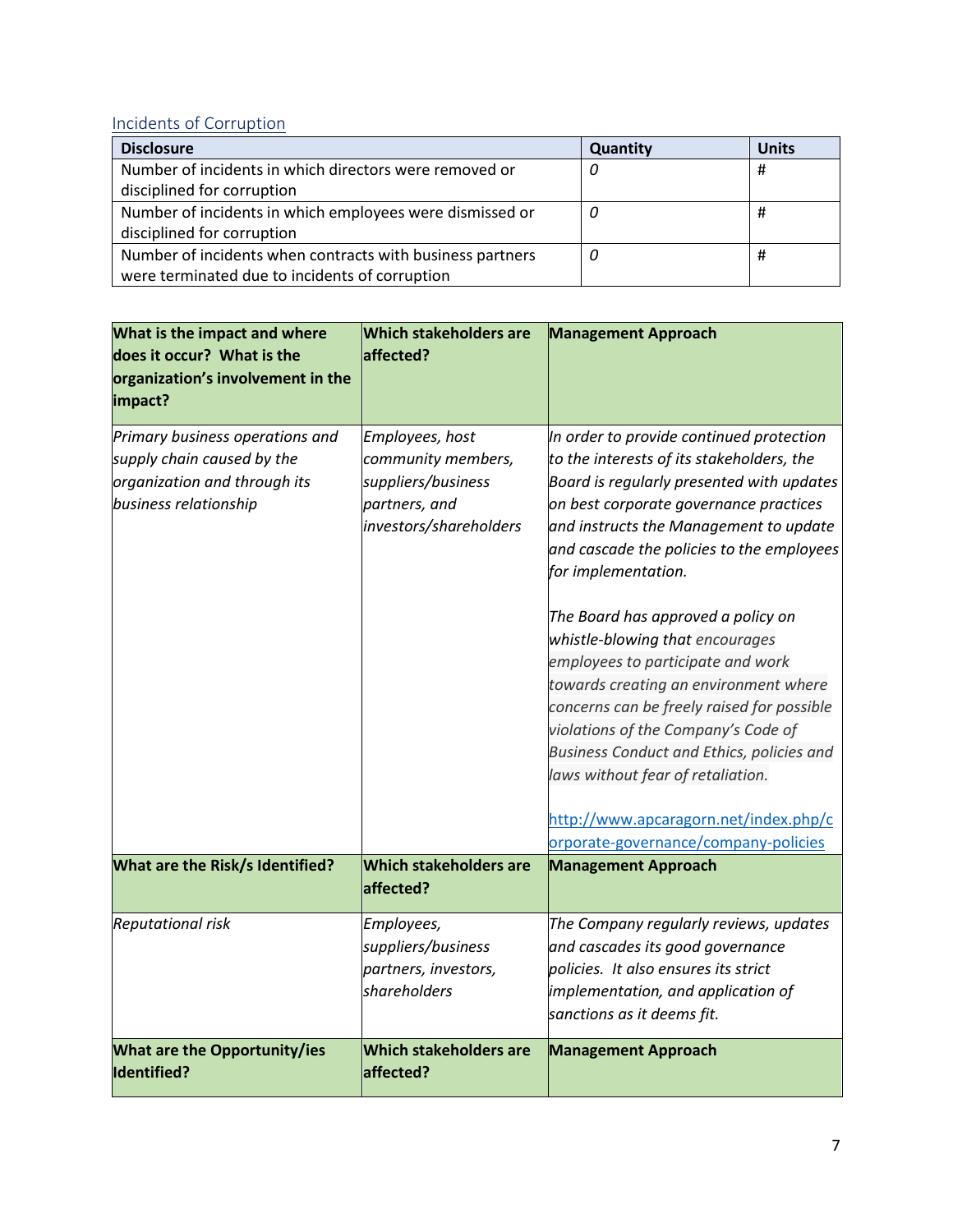### [Incidents of Corruption](#page-8-0)

| <b>Disclosure</b>                                         | Quantity | <b>Units</b> |
|-----------------------------------------------------------|----------|--------------|
| Number of incidents in which directors were removed or    |          | #            |
| disciplined for corruption                                |          |              |
| Number of incidents in which employees were dismissed or  | U        | #            |
| disciplined for corruption                                |          |              |
| Number of incidents when contracts with business partners | 0        | #            |
| were terminated due to incidents of corruption            |          |              |

| What is the impact and where<br>does it occur? What is the | <b>Which stakeholders are</b><br>affected? | <b>Management Approach</b>                                                       |
|------------------------------------------------------------|--------------------------------------------|----------------------------------------------------------------------------------|
| organization's involvement in the                          |                                            |                                                                                  |
| impact?                                                    |                                            |                                                                                  |
| Primary business operations and                            | Employees, host                            | In order to provide continued protection                                         |
| supply chain caused by the                                 | community members,                         | to the interests of its stakeholders, the                                        |
| organization and through its                               | suppliers/business                         | Board is regularly presented with updates                                        |
| business relationship                                      | partners, and<br>investors/shareholders    | on best corporate governance practices<br>and instructs the Management to update |
|                                                            |                                            | and cascade the policies to the employees                                        |
|                                                            |                                            | for implementation.                                                              |
|                                                            |                                            | The Board has approved a policy on                                               |
|                                                            |                                            | whistle-blowing that encourages                                                  |
|                                                            |                                            | employees to participate and work                                                |
|                                                            |                                            | towards creating an environment where                                            |
|                                                            |                                            | concerns can be freely raised for possible                                       |
|                                                            |                                            | violations of the Company's Code of                                              |
|                                                            |                                            | Business Conduct and Ethics, policies and                                        |
|                                                            |                                            | laws without fear of retaliation.                                                |
|                                                            |                                            | http://www.apcaragorn.net/index.php/c                                            |
|                                                            |                                            | orporate-governance/company-policies                                             |
| What are the Risk/s Identified?                            | <b>Which stakeholders are</b><br>affected? | <b>Management Approach</b>                                                       |
| <b>Reputational risk</b>                                   | Employees,                                 | The Company regularly reviews, updates                                           |
|                                                            | suppliers/business                         | and cascades its good governance                                                 |
|                                                            | partners, investors,                       | policies. It also ensures its strict                                             |
|                                                            | shareholders                               | implementation, and application of                                               |
|                                                            |                                            | sanctions as it deems fit.                                                       |
| <b>What are the Opportunity/ies</b><br>Identified?         | <b>Which stakeholders are</b><br>affected? | <b>Management Approach</b>                                                       |
|                                                            |                                            |                                                                                  |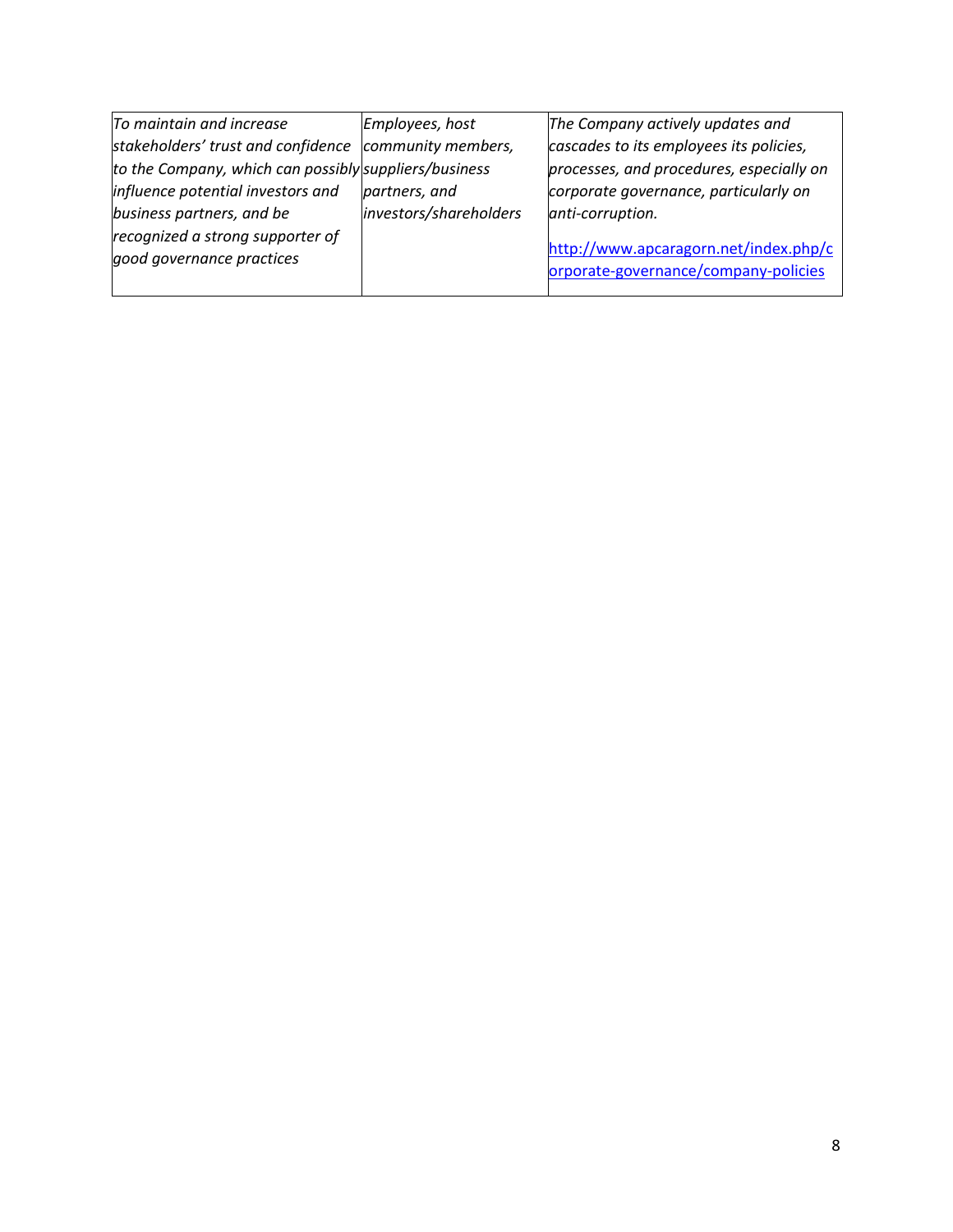| Employees, host                                       | The Company actively updates and                                              |
|-------------------------------------------------------|-------------------------------------------------------------------------------|
| community members,                                    | cascades to its employees its policies,                                       |
| to the Company, which can possibly suppliers/business | processes, and procedures, especially on                                      |
| partners, and                                         | corporate governance, particularly on                                         |
| investors/shareholders                                | anti-corruption.                                                              |
|                                                       | http://www.apcaragorn.net/index.php/c<br>orporate-governance/company-policies |
|                                                       |                                                                               |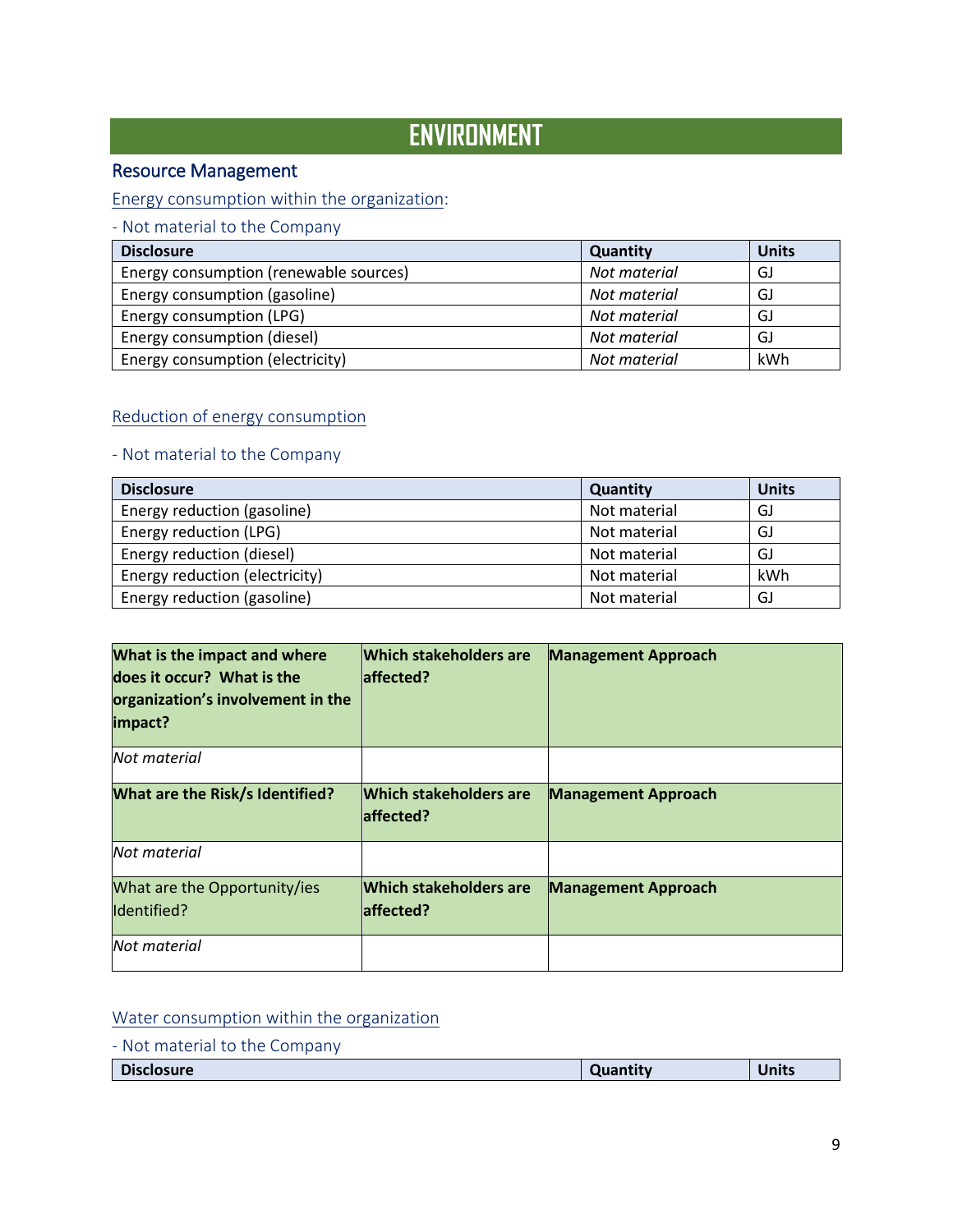# **ENVIRONMENT**

### Resource Management

### <span id="page-8-0"></span>[Energy consumption within the organization:](#page-8-0)

- Not material to the Company

| <b>Disclosure</b>                      | <b>Quantity</b> | <b>Units</b> |
|----------------------------------------|-----------------|--------------|
| Energy consumption (renewable sources) | Not material    | GJ           |
| Energy consumption (gasoline)          | Not material    | GJ           |
| Energy consumption (LPG)               | Not material    | GJ           |
| Energy consumption (diesel)            | Not material    | GJ           |
| Energy consumption (electricity)       | Not material    | kWh          |

### Reduction of energy consumption

### - Not material to the Company

| <b>Disclosure</b>              | Quantity     | <b>Units</b> |
|--------------------------------|--------------|--------------|
| Energy reduction (gasoline)    | Not material | GJ           |
| Energy reduction (LPG)         | Not material | GJ           |
| Energy reduction (diesel)      | Not material | GJ           |
| Energy reduction (electricity) | Not material | kWh          |
| Energy reduction (gasoline)    | Not material | GJ           |

| What is the impact and where<br>does it occur? What is the<br>organization's involvement in the<br>impact? | <b>Which stakeholders are</b><br>laffected? | <b>Management Approach</b> |
|------------------------------------------------------------------------------------------------------------|---------------------------------------------|----------------------------|
| Not material                                                                                               |                                             |                            |
| What are the Risk/s Identified?                                                                            | <b>Which stakeholders are</b><br>laffected? | <b>Management Approach</b> |
| Not material                                                                                               |                                             |                            |
| What are the Opportunity/ies<br>Identified?                                                                | <b>Which stakeholders are</b><br>laffected? | <b>Management Approach</b> |
| Not material                                                                                               |                                             |                            |

### Water consumption within the organization

|  |  |  | - Not material to the Company |
|--|--|--|-------------------------------|
|--|--|--|-------------------------------|

| <b>Disclosure</b> | Quantity | <b>Units</b> |
|-------------------|----------|--------------|
|                   |          |              |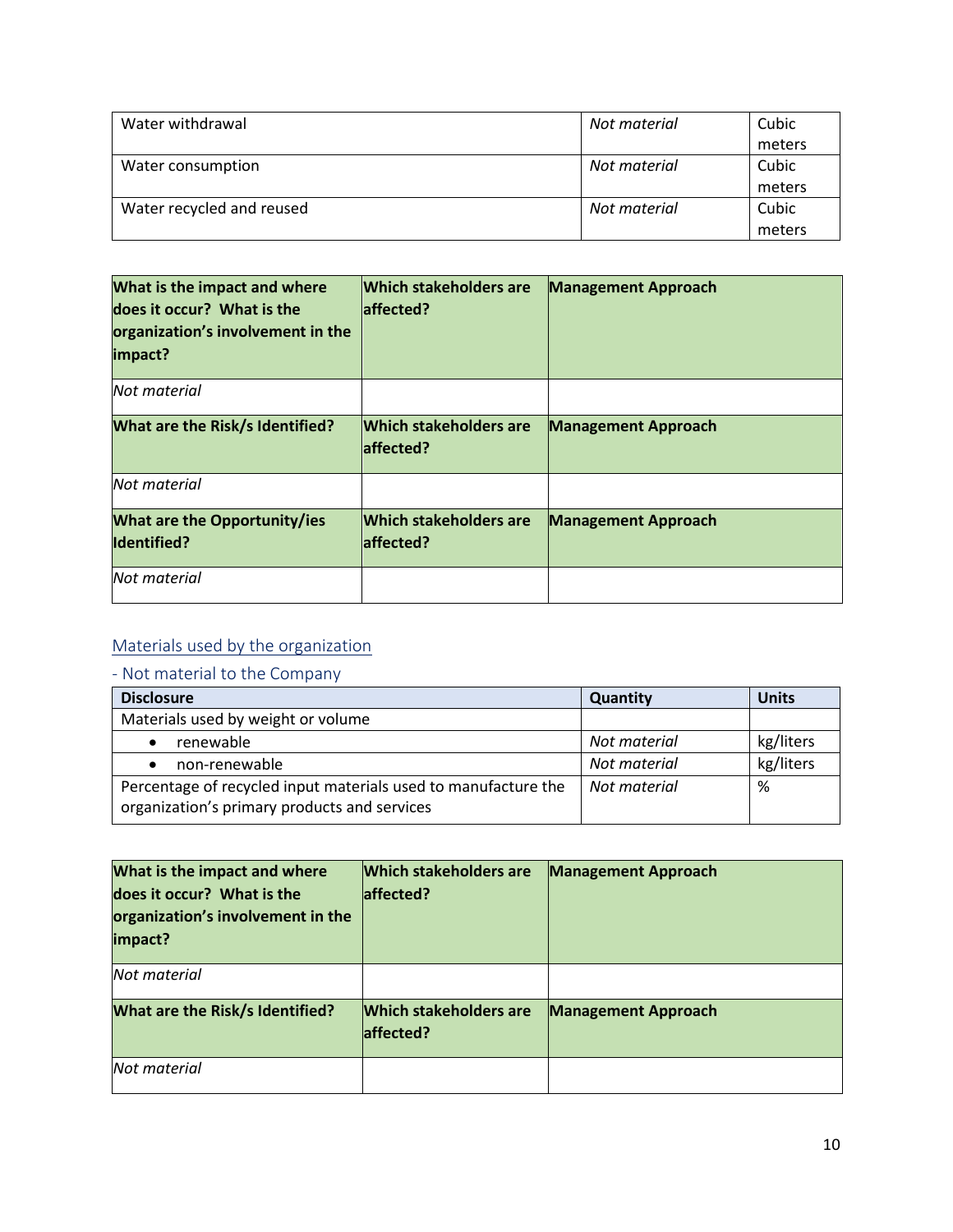| Water withdrawal          | Not material | Cubic  |
|---------------------------|--------------|--------|
|                           |              | meters |
| Water consumption         | Not material | Cubic  |
|                           |              | meters |
| Water recycled and reused | Not material | Cubic  |
|                           |              | meters |

| What is the impact and where<br>does it occur? What is the<br>organization's involvement in the<br>impact? | <b>Which stakeholders are</b><br>laffected? | <b>Management Approach</b> |
|------------------------------------------------------------------------------------------------------------|---------------------------------------------|----------------------------|
| Not material                                                                                               |                                             |                            |
| What are the Risk/s Identified?                                                                            | <b>Which stakeholders are</b><br>laffected? | <b>Management Approach</b> |
| Not material                                                                                               |                                             |                            |
| <b>What are the Opportunity/ies</b><br><b>Identified?</b>                                                  | <b>Which stakeholders are</b><br>affected?  | <b>Management Approach</b> |
| Not material                                                                                               |                                             |                            |

# <span id="page-9-0"></span>[Materials used by the organization](#page-9-0)

| <b>Disclosure</b>                                                                                              | <b>Quantity</b> | Units     |
|----------------------------------------------------------------------------------------------------------------|-----------------|-----------|
| Materials used by weight or volume                                                                             |                 |           |
| renewable                                                                                                      | Not material    | kg/liters |
| non-renewable                                                                                                  | Not material    | kg/liters |
| Percentage of recycled input materials used to manufacture the<br>organization's primary products and services | Not material    | %         |

| What is the impact and where<br>does it occur? What is the<br>organization's involvement in the<br>impact? | <b>Which stakeholders are</b><br>laffected? | <b>Management Approach</b> |
|------------------------------------------------------------------------------------------------------------|---------------------------------------------|----------------------------|
| Not material                                                                                               |                                             |                            |
| <b>What are the Risk/s Identified?</b>                                                                     | <b>Which stakeholders are</b><br>laffected? | <b>Management Approach</b> |
| Not material                                                                                               |                                             |                            |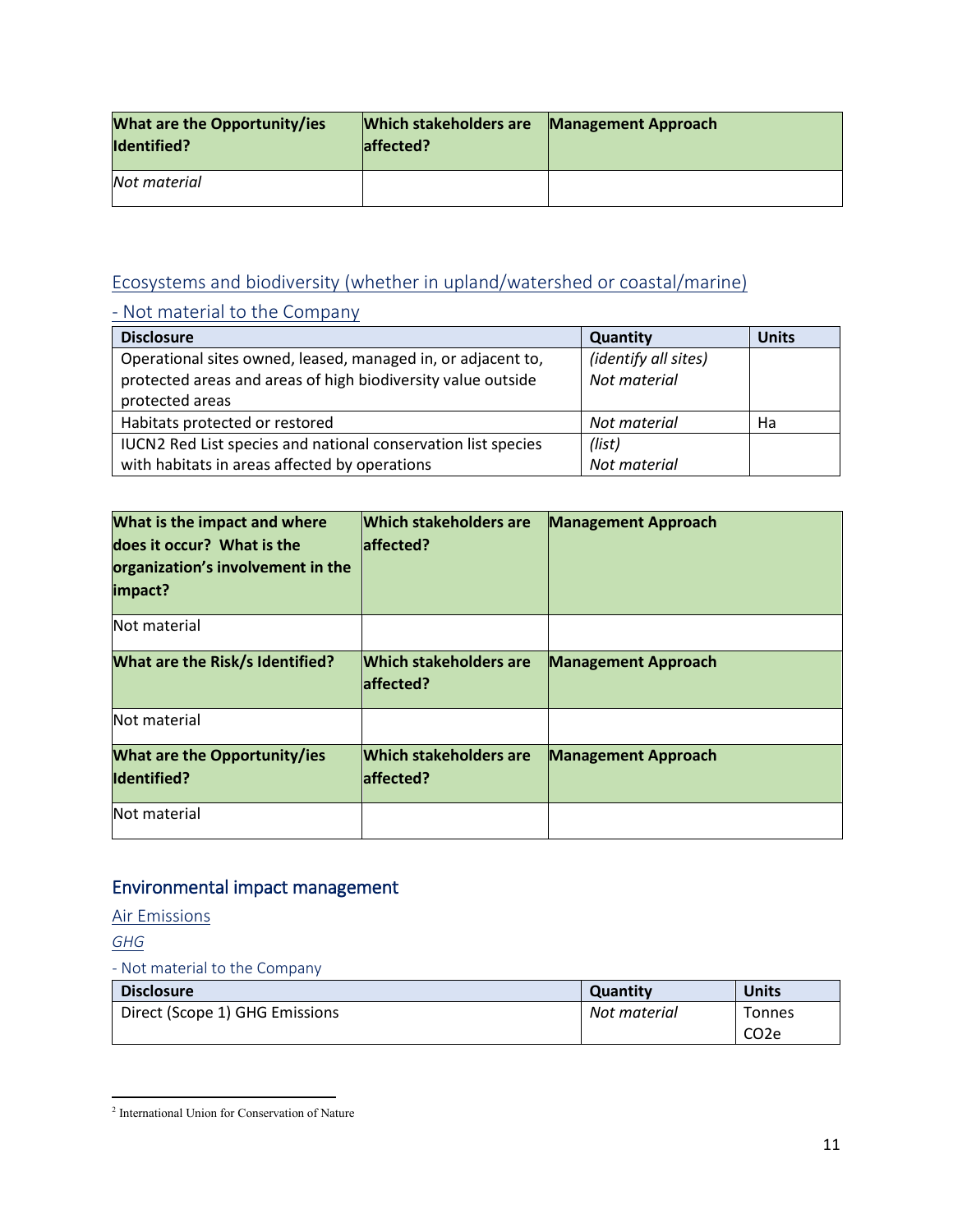| <b>What are the Opportunity/ies</b><br><b>Identified?</b> | <b>Which stakeholders are</b><br>laffected? | <b>Management Approach</b> |
|-----------------------------------------------------------|---------------------------------------------|----------------------------|
| Not material                                              |                                             |                            |

### <span id="page-10-0"></span>[Ecosystems and biodiversity \(whether in upland/watershed or coastal/marine\)](#page-10-0)

# - Not material to the Company

| <b>Disclosure</b>                                             | Quantity             | <b>Units</b> |
|---------------------------------------------------------------|----------------------|--------------|
| Operational sites owned, leased, managed in, or adjacent to,  | (identify all sites) |              |
| protected areas and areas of high biodiversity value outside  | Not material         |              |
| protected areas                                               |                      |              |
| Habitats protected or restored                                | Not material         | Ha           |
| IUCN2 Red List species and national conservation list species | (list)               |              |
| with habitats in areas affected by operations                 | Not material         |              |

| What is the impact and where<br>does it occur? What is the<br>organization's involvement in the<br>impact? | <b>Which stakeholders are</b><br>laffected? | <b>Management Approach</b> |
|------------------------------------------------------------------------------------------------------------|---------------------------------------------|----------------------------|
| Not material                                                                                               |                                             |                            |
| <b>What are the Risk/s Identified?</b>                                                                     | <b>Which stakeholders are</b><br>laffected? | <b>Management Approach</b> |
| Not material                                                                                               |                                             |                            |
| <b>What are the Opportunity/ies</b><br>Identified?                                                         | <b>Which stakeholders are</b><br>laffected? | <b>Management Approach</b> |
| Not material                                                                                               |                                             |                            |

# Environmental impact management

### <span id="page-10-1"></span>[Air Emissions](#page-10-1)

<span id="page-10-2"></span>*[GHG](#page-10-2)*

| <b>Disclosure</b>              | <b>Quantity</b> | Units             |
|--------------------------------|-----------------|-------------------|
| Direct (Scope 1) GHG Emissions | Not material    | <b>Tonnes</b>     |
|                                |                 | CO <sub>2</sub> e |

<span id="page-10-3"></span>l <sup>2</sup> International Union for Conservation of Nature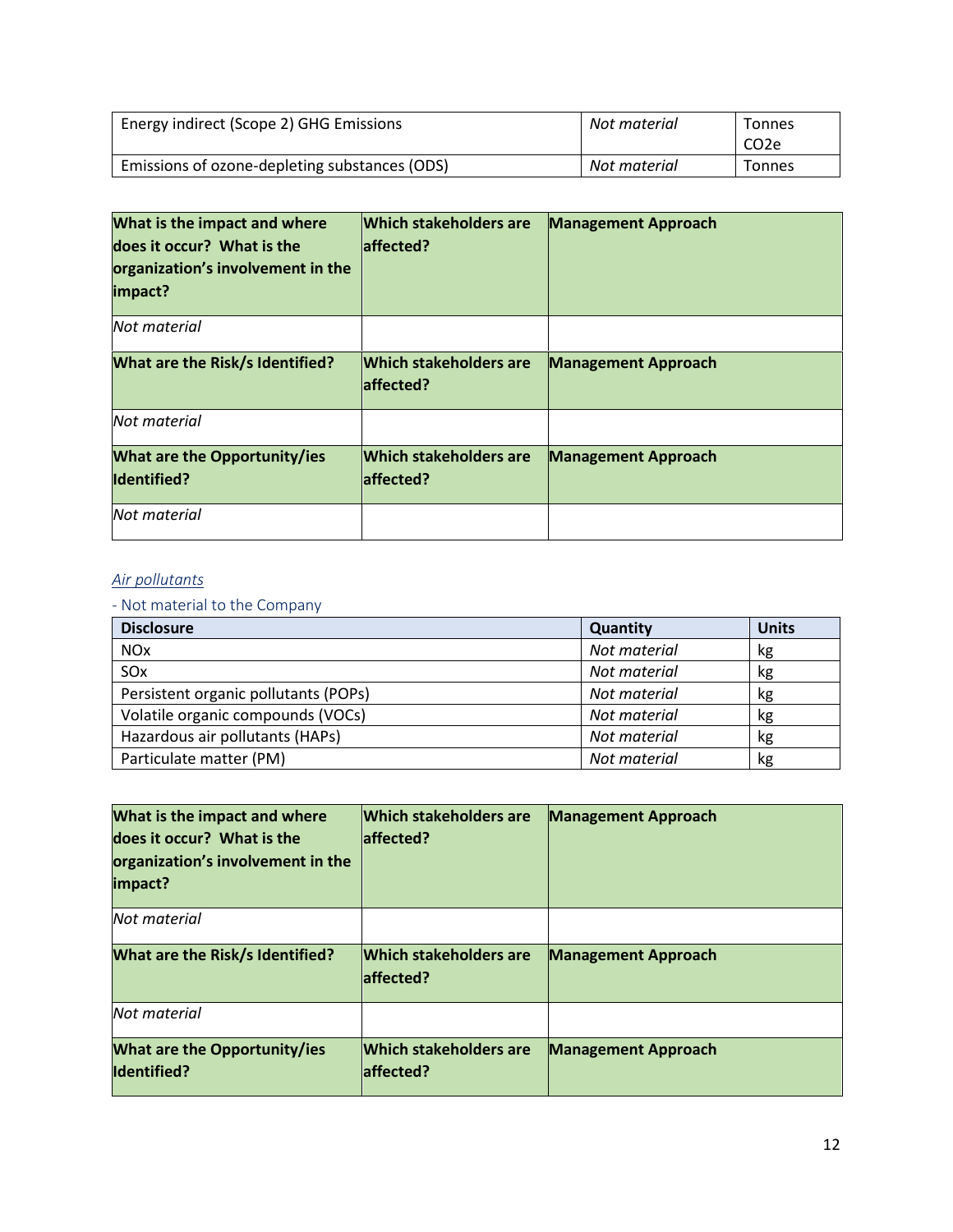| Energy indirect (Scope 2) GHG Emissions       | Not material | Tonnes<br>CO <sub>2</sub> e |
|-----------------------------------------------|--------------|-----------------------------|
| Emissions of ozone-depleting substances (ODS) | Not material | Tonnes                      |

| What is the impact and where<br>does it occur? What is the<br>organization's involvement in the<br>impact? | <b>Which stakeholders are</b><br>laffected? | <b>Management Approach</b> |
|------------------------------------------------------------------------------------------------------------|---------------------------------------------|----------------------------|
| Not material                                                                                               |                                             |                            |
| What are the Risk/s Identified?                                                                            | Which stakeholders are<br>laffected?        | <b>Management Approach</b> |
| Not material                                                                                               |                                             |                            |
| <b>What are the Opportunity/ies</b><br><b>Identified?</b>                                                  | <b>Which stakeholders are</b><br>laffected? | <b>Management Approach</b> |
| Not material                                                                                               |                                             |                            |

### <span id="page-11-0"></span>*[Air pollutants](#page-11-0)*

| <b>Disclosure</b>                    | Quantity     | <b>Units</b> |
|--------------------------------------|--------------|--------------|
| <b>NO<sub>x</sub></b>                | Not material | kg           |
| SO <sub>x</sub>                      | Not material | kg           |
| Persistent organic pollutants (POPs) | Not material | kg           |
| Volatile organic compounds (VOCs)    | Not material | kg           |
| Hazardous air pollutants (HAPs)      | Not material | kg           |
| Particulate matter (PM)              | Not material | kg           |

| What is the impact and where<br>does it occur? What is the<br>organization's involvement in the<br>impact? | <b>Which stakeholders are</b><br>laffected? | <b>Management Approach</b> |
|------------------------------------------------------------------------------------------------------------|---------------------------------------------|----------------------------|
| Not material                                                                                               |                                             |                            |
| What are the Risk/s Identified?                                                                            | <b>Which stakeholders are</b><br>laffected? | <b>Management Approach</b> |
| Not material                                                                                               |                                             |                            |
| <b>What are the Opportunity/ies</b><br><b>Identified?</b>                                                  | Which stakeholders are<br>affected?         | <b>Management Approach</b> |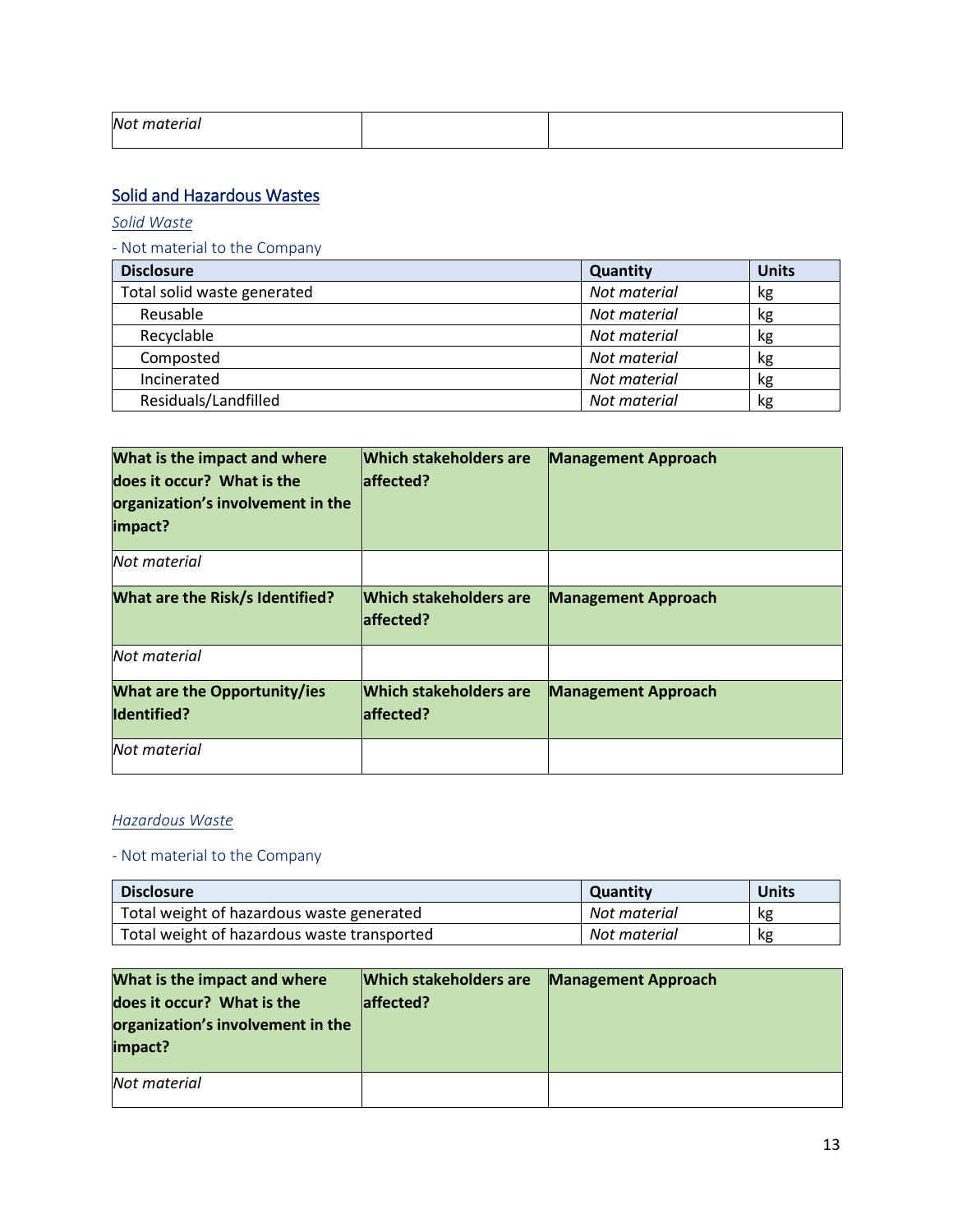| Not material<br>__ |  |
|--------------------|--|
|                    |  |

### <span id="page-12-0"></span>Solid and Hazardous Wastes

<span id="page-12-1"></span>*[Solid Waste](#page-12-1)*

### - Not material to the Company

| <b>Disclosure</b>           | Quantity     | <b>Units</b> |
|-----------------------------|--------------|--------------|
| Total solid waste generated | Not material | kg           |
| Reusable                    | Not material | kg           |
| Recyclable                  | Not material | kg           |
| Composted                   | Not material | kg           |
| Incinerated                 | Not material | kg           |
| Residuals/Landfilled        | Not material | kg           |

| What is the impact and where<br>does it occur? What is the<br>organization's involvement in the<br>impact? | <b>Which stakeholders are</b><br>laffected? | <b>Management Approach</b> |
|------------------------------------------------------------------------------------------------------------|---------------------------------------------|----------------------------|
| Not material                                                                                               |                                             |                            |
| What are the Risk/s Identified?                                                                            | <b>Which stakeholders are</b><br>laffected? | <b>Management Approach</b> |
| Not material                                                                                               |                                             |                            |
| <b>What are the Opportunity/ies</b><br><b>Identified?</b>                                                  | <b>Which stakeholders are</b><br>affected?  | <b>Management Approach</b> |
| Not material                                                                                               |                                             |                            |

### *Hazardous Waste*

| <b>Disclosure</b>                           | <b>Quantity</b> | <b>Units</b> |
|---------------------------------------------|-----------------|--------------|
| Total weight of hazardous waste generated   | Not material    | kg           |
| Total weight of hazardous waste transported | Not material    | кg           |

| What is the impact and where<br>does it occur? What is the<br>organization's involvement in the<br>impact? | <b>Which stakeholders are</b><br>laffected? | <b>Management Approach</b> |
|------------------------------------------------------------------------------------------------------------|---------------------------------------------|----------------------------|
| Not material                                                                                               |                                             |                            |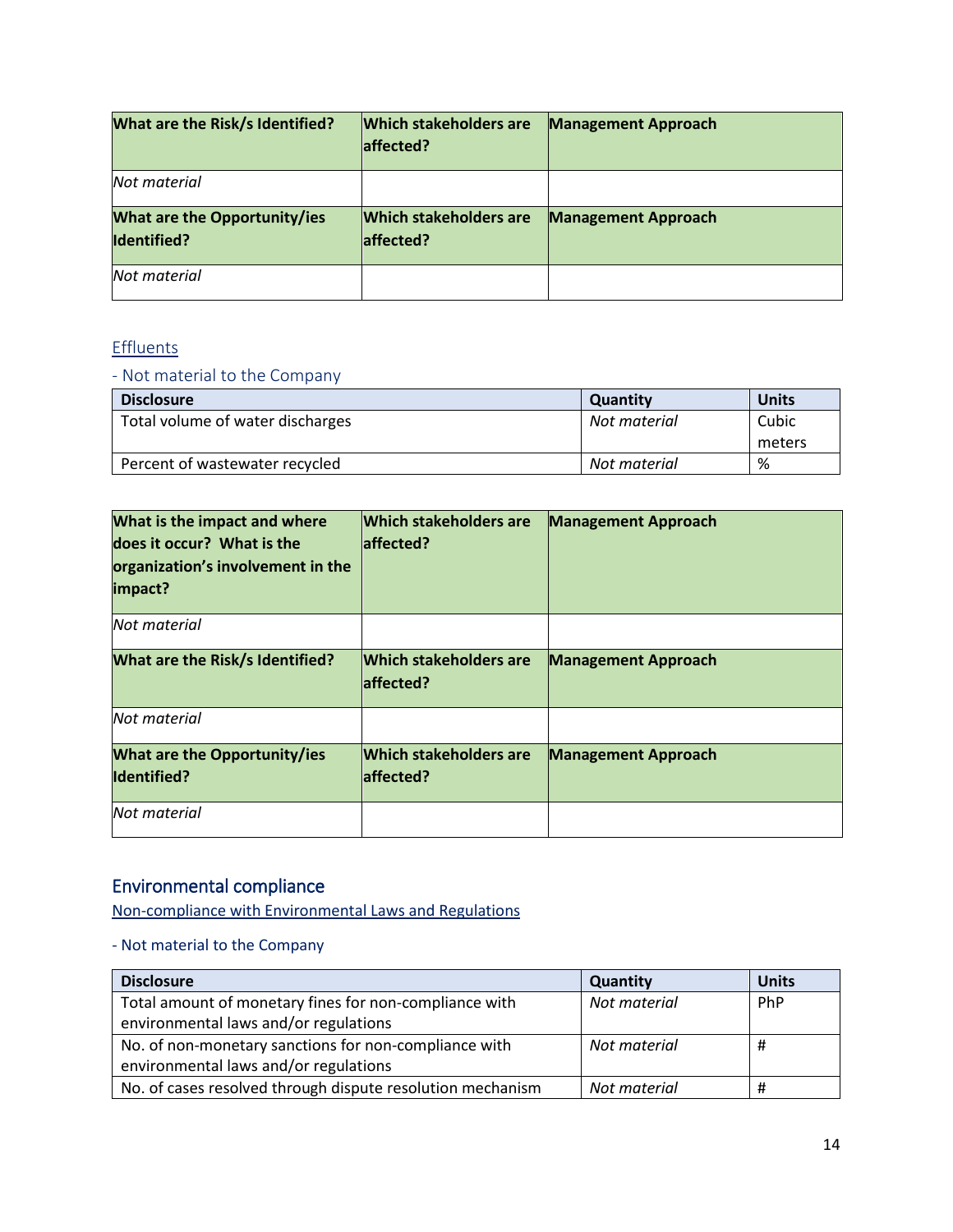| What are the Risk/s Identified?             | <b>Which stakeholders are</b><br>laffected? | <b>Management Approach</b> |
|---------------------------------------------|---------------------------------------------|----------------------------|
| Not material                                |                                             |                            |
| What are the Opportunity/ies<br>Identified? | <b>Which stakeholders are</b><br>laffected? | <b>Management Approach</b> |
| Not material                                |                                             |                            |

# **Effluents**

### - Not material to the Company

| <b>Disclosure</b>                | <b>Quantity</b> | <b>Units</b> |
|----------------------------------|-----------------|--------------|
| Total volume of water discharges | Not material    | Cubic        |
|                                  |                 | meters       |
| Percent of wastewater recycled   | Not material    | %            |

| What is the impact and where<br>does it occur? What is the<br>organization's involvement in the<br>impact? | <b>Which stakeholders are</b><br>laffected? | <b>Management Approach</b> |
|------------------------------------------------------------------------------------------------------------|---------------------------------------------|----------------------------|
| Not material                                                                                               |                                             |                            |
| <b>What are the Risk/s Identified?</b>                                                                     | <b>Which stakeholders are</b><br>laffected? | <b>Management Approach</b> |
| Not material                                                                                               |                                             |                            |
| <b>What are the Opportunity/ies</b><br><b>Identified?</b>                                                  | <b>Which stakeholders are</b><br>laffected? | <b>Management Approach</b> |
| Not material                                                                                               |                                             |                            |

# Environmental compliance

[Non-compliance with Environmental Laws and Regulations](#page-10-1)

| <b>Disclosure</b>                                          | <b>Quantity</b> | <b>Units</b> |
|------------------------------------------------------------|-----------------|--------------|
| Total amount of monetary fines for non-compliance with     | Not material    | PhP          |
| environmental laws and/or regulations                      |                 |              |
| No. of non-monetary sanctions for non-compliance with      | Not material    | #            |
| environmental laws and/or regulations                      |                 |              |
| No. of cases resolved through dispute resolution mechanism | Not material    | #            |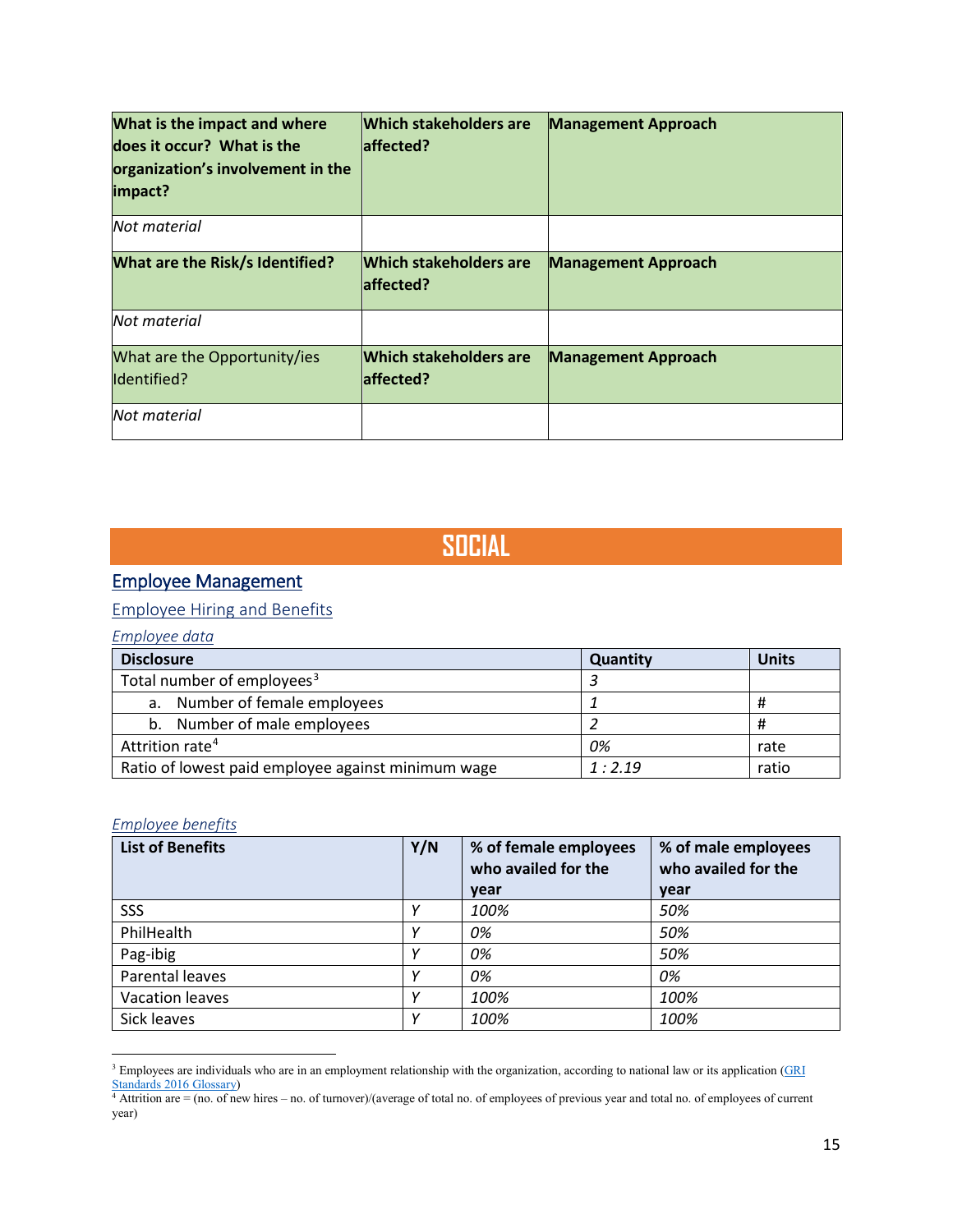| What is the impact and where<br>does it occur? What is the<br>organization's involvement in the<br>impact? | <b>Which stakeholders are</b><br>laffected? | <b>Management Approach</b> |
|------------------------------------------------------------------------------------------------------------|---------------------------------------------|----------------------------|
| Not material                                                                                               |                                             |                            |
| What are the Risk/s Identified?                                                                            | <b>Which stakeholders are</b><br>laffected? | <b>Management Approach</b> |
| Not material                                                                                               |                                             |                            |
| What are the Opportunity/ies<br>Identified?                                                                | Which stakeholders are<br>affected?         | <b>Management Approach</b> |
| Not material                                                                                               |                                             |                            |

# **SOCIAL**

# Employee Management

### Employee Hiring and Benefits

### *Employee data*

| <b>Disclosure</b>                                  | Quantity | <b>Units</b> |
|----------------------------------------------------|----------|--------------|
| Total number of employees <sup>3</sup>             |          |              |
| Number of female employees<br>а.                   |          | Ħ            |
| Number of male employees<br>b.                     |          | Ħ            |
| Attrition rate <sup>4</sup>                        | 0%       | rate         |
| Ratio of lowest paid employee against minimum wage | 1:2.19   | ratio        |

### *Employee benefits*

 $\overline{\phantom{a}}$ 

| <b>List of Benefits</b> | Y/N | % of female employees<br>who availed for the | % of male employees<br>who availed for the |
|-------------------------|-----|----------------------------------------------|--------------------------------------------|
|                         |     | year                                         | year                                       |
| SSS                     |     | 100%                                         | 50%                                        |
| PhilHealth              |     | 0%                                           | 50%                                        |
| Pag-ibig                | v   | 0%                                           | 50%                                        |
| Parental leaves         | v   | 0%                                           | 0%                                         |
| <b>Vacation leaves</b>  |     | 100%                                         | 100%                                       |
| Sick leaves             |     | 100%                                         | 100%                                       |

<span id="page-14-0"></span> $3$  Employees are individuals who are in an employment relationship with the organization, according to national law or its application ( $\frac{GRI}{I}$ [Standards 2016 Glossary\)](https://www.globalreporting.org/standards/media/1035/gri-standards-glossary-2016.pdf)

<span id="page-14-1"></span><sup>4</sup> Attrition are = (no. of new hires – no. of turnover)/(average of total no. of employees of previous year and total no. of employees of current year)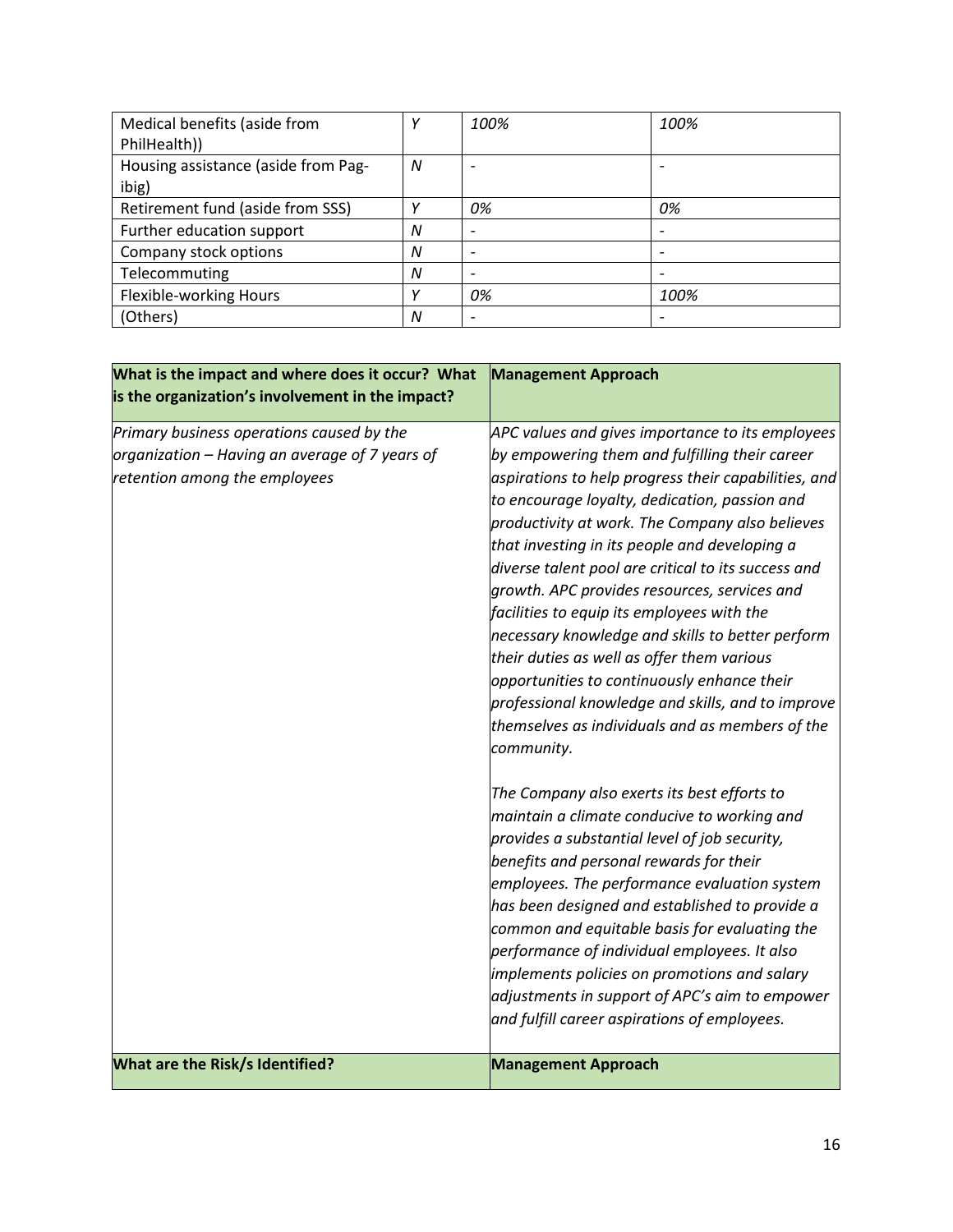| Medical benefits (aside from        |   | 100% | 100%                     |
|-------------------------------------|---|------|--------------------------|
| PhilHealth))                        |   |      |                          |
| Housing assistance (aside from Pag- | N |      |                          |
| ibig)                               |   |      |                          |
| Retirement fund (aside from SSS)    |   | 0%   | 0%                       |
| Further education support           | N |      |                          |
| Company stock options               | N |      | $\overline{\phantom{0}}$ |
| Telecommuting                       | N |      |                          |
| Flexible-working Hours              |   | 0%   | 100%                     |
| (Others)                            | N |      |                          |

| What is the impact and where does it occur? What<br>is the organization's involvement in the impact?                         | <b>Management Approach</b>                                                                                                                                                                                                                                                                                                                                                                                                                                                                                                                                                                                                                                                                                                                  |
|------------------------------------------------------------------------------------------------------------------------------|---------------------------------------------------------------------------------------------------------------------------------------------------------------------------------------------------------------------------------------------------------------------------------------------------------------------------------------------------------------------------------------------------------------------------------------------------------------------------------------------------------------------------------------------------------------------------------------------------------------------------------------------------------------------------------------------------------------------------------------------|
| Primary business operations caused by the<br>organization – Having an average of 7 years of<br>retention among the employees | APC values and gives importance to its employees<br>by empowering them and fulfilling their career<br>aspirations to help progress their capabilities, and<br>to encourage loyalty, dedication, passion and<br>productivity at work. The Company also believes<br>that investing in its people and developing a<br>diverse talent pool are critical to its success and<br>growth. APC provides resources, services and<br>facilities to equip its employees with the<br>necessary knowledge and skills to better perform<br>their duties as well as offer them various<br>opportunities to continuously enhance their<br>professional knowledge and skills, and to improve<br>themselves as individuals and as members of the<br>community. |
|                                                                                                                              | The Company also exerts its best efforts to<br>maintain a climate conducive to working and<br>provides a substantial level of job security,<br>benefits and personal rewards for their<br>employees. The performance evaluation system<br>has been designed and established to provide a<br>common and equitable basis for evaluating the<br>performance of individual employees. It also<br>implements policies on promotions and salary<br>adjustments in support of APC's aim to empower<br>and fulfill career aspirations of employees.                                                                                                                                                                                                 |
| What are the Risk/s Identified?                                                                                              | <b>Management Approach</b>                                                                                                                                                                                                                                                                                                                                                                                                                                                                                                                                                                                                                                                                                                                  |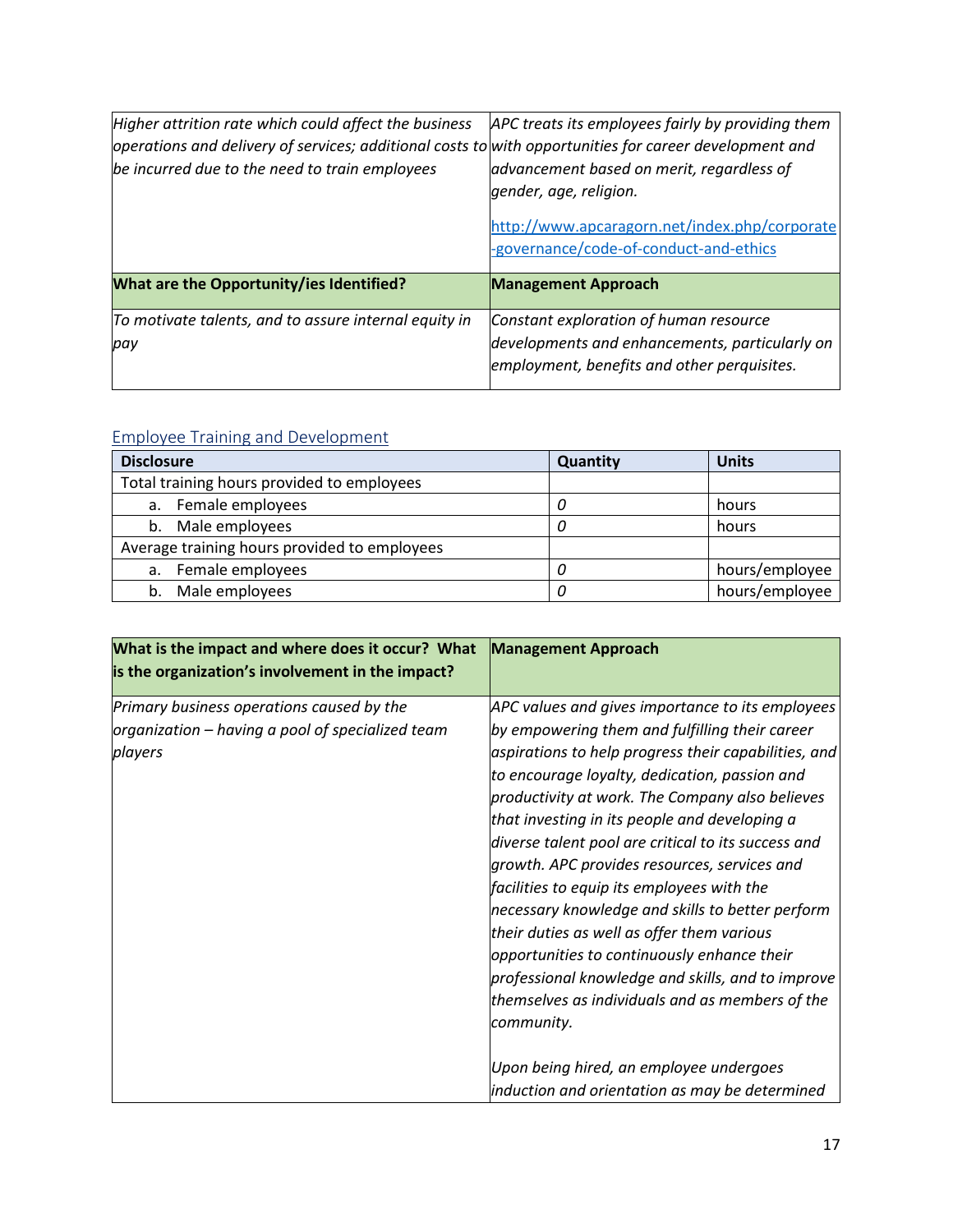| Higher attrition rate which could affect the business<br>$\alpha$ operations and delivery of services; additional costs to with opportunities for career development and<br>be incurred due to the need to train employees | APC treats its employees fairly by providing them<br>advancement based on merit, regardless of<br>gender, age, religion.<br>http://www.apcaragorn.net/index.php/corporate<br>-governance/code-of-conduct-and-ethics |
|----------------------------------------------------------------------------------------------------------------------------------------------------------------------------------------------------------------------------|---------------------------------------------------------------------------------------------------------------------------------------------------------------------------------------------------------------------|
| What are the Opportunity/ies Identified?                                                                                                                                                                                   | <b>Management Approach</b>                                                                                                                                                                                          |
| To motivate talents, and to assure internal equity in                                                                                                                                                                      | Constant exploration of human resource                                                                                                                                                                              |
| pay                                                                                                                                                                                                                        | developments and enhancements, particularly on<br>employment, benefits and other perquisites.                                                                                                                       |

# Employee Training and Development

| <b>Disclosure</b>                            | Quantity | <b>Units</b>   |
|----------------------------------------------|----------|----------------|
| Total training hours provided to employees   |          |                |
| Female employees<br>а.                       | U        | hours          |
| Male employees<br>b.                         | 0        | hours          |
| Average training hours provided to employees |          |                |
| Female employees<br>а.                       | 0        | hours/employee |
| Male employees<br>b.                         | 0        | hours/employee |

| What is the impact and where does it occur? What<br>is the organization's involvement in the impact?     | <b>Management Approach</b>                                                                                                                                                                                                                                                                                                                                                                                                                                           |
|----------------------------------------------------------------------------------------------------------|----------------------------------------------------------------------------------------------------------------------------------------------------------------------------------------------------------------------------------------------------------------------------------------------------------------------------------------------------------------------------------------------------------------------------------------------------------------------|
| Primary business operations caused by the<br>organization – having a pool of specialized team<br>players | APC values and gives importance to its employees<br>by empowering them and fulfilling their career<br>aspirations to help progress their capabilities, and<br>to encourage loyalty, dedication, passion and<br>productivity at work. The Company also believes<br>that investing in its people and developing a<br>diverse talent pool are critical to its success and<br>growth. APC provides resources, services and<br>facilities to equip its employees with the |
|                                                                                                          | necessary knowledge and skills to better perform<br>their duties as well as offer them various<br>opportunities to continuously enhance their<br>professional knowledge and skills, and to improve<br>themselves as individuals and as members of the<br>community.<br>Upon being hired, an employee undergoes<br>induction and orientation as may be determined                                                                                                     |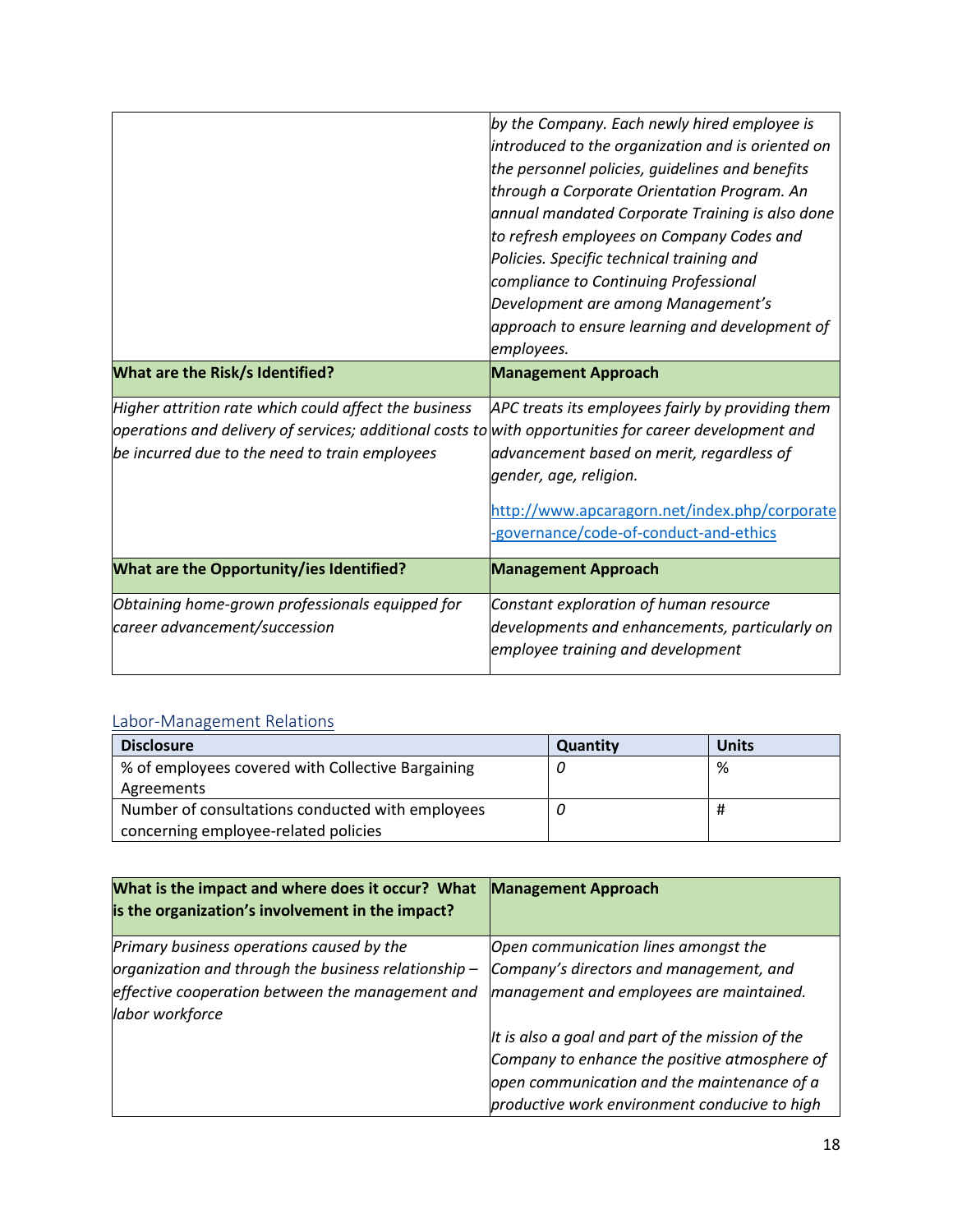|                                                                                                                 | by the Company. Each newly hired employee is      |
|-----------------------------------------------------------------------------------------------------------------|---------------------------------------------------|
|                                                                                                                 | introduced to the organization and is oriented on |
|                                                                                                                 | the personnel policies, guidelines and benefits   |
|                                                                                                                 | through a Corporate Orientation Program. An       |
|                                                                                                                 | annual mandated Corporate Training is also done   |
|                                                                                                                 | to refresh employees on Company Codes and         |
|                                                                                                                 | Policies. Specific technical training and         |
|                                                                                                                 | compliance to Continuing Professional             |
|                                                                                                                 | Development are among Management's                |
|                                                                                                                 | approach to ensure learning and development of    |
|                                                                                                                 | employees.                                        |
| What are the Risk/s Identified?                                                                                 | <b>Management Approach</b>                        |
| Higher attrition rate which could affect the business                                                           | APC treats its employees fairly by providing them |
| $\omega$ operations and delivery of services; additional costs to with opportunities for career development and |                                                   |
| be incurred due to the need to train employees                                                                  | advancement based on merit, regardless of         |
|                                                                                                                 | gender, age, religion.                            |
|                                                                                                                 | http://www.apcaragorn.net/index.php/corporate     |
|                                                                                                                 | -governance/code-of-conduct-and-ethics            |
| What are the Opportunity/ies Identified?                                                                        | <b>Management Approach</b>                        |
| Obtaining home-grown professionals equipped for                                                                 | Constant exploration of human resource            |
| career advancement/succession                                                                                   | developments and enhancements, particularly on    |
|                                                                                                                 | employee training and development                 |
|                                                                                                                 |                                                   |

### Labor-Management Relations

| <b>Disclosure</b>                                 | Quantity | <b>Units</b> |
|---------------------------------------------------|----------|--------------|
| % of employees covered with Collective Bargaining |          | %            |
| Agreements                                        |          |              |
| Number of consultations conducted with employees  |          |              |
| concerning employee-related policies              |          |              |

| What is the impact and where does it occur? What<br>is the organization's involvement in the impact? | <b>Management Approach</b>                                                                   |
|------------------------------------------------------------------------------------------------------|----------------------------------------------------------------------------------------------|
| Primary business operations caused by the                                                            | Open communication lines amongst the                                                         |
| organization and through the business relationship-                                                  | Company's directors and management, and                                                      |
| effective cooperation between the management and<br>labor workforce                                  | management and employees are maintained.                                                     |
|                                                                                                      | It is also a goal and part of the mission of the                                             |
|                                                                                                      | Company to enhance the positive atmosphere of                                                |
|                                                                                                      | open communication and the maintenance of a<br>productive work environment conducive to high |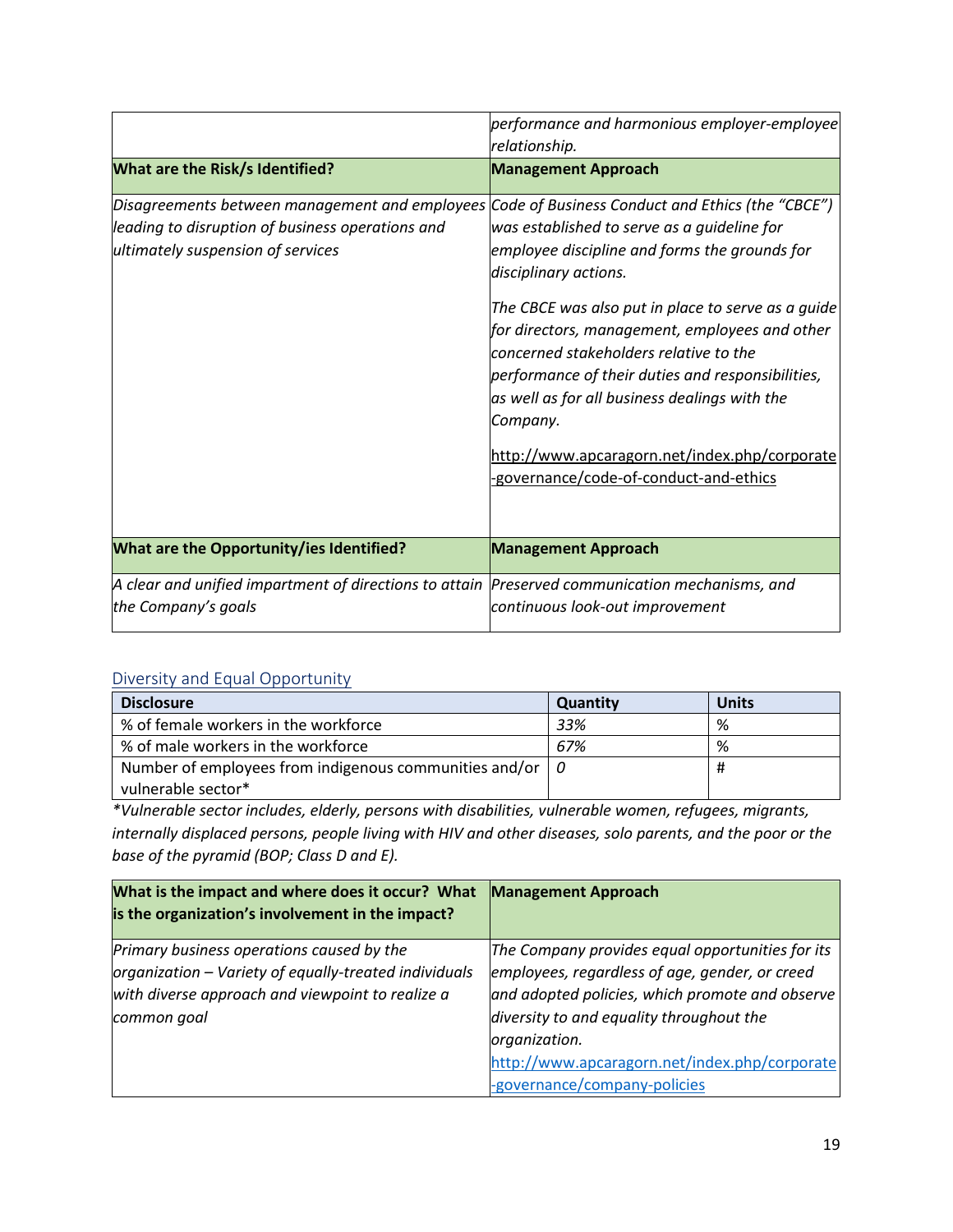|                                                                                                                                                                                          | performance and harmonious employer-employee                                                                                                                                                                                                                                                                                                                                                                                                                                         |
|------------------------------------------------------------------------------------------------------------------------------------------------------------------------------------------|--------------------------------------------------------------------------------------------------------------------------------------------------------------------------------------------------------------------------------------------------------------------------------------------------------------------------------------------------------------------------------------------------------------------------------------------------------------------------------------|
|                                                                                                                                                                                          | relationship.                                                                                                                                                                                                                                                                                                                                                                                                                                                                        |
| <b>What are the Risk/s Identified?</b>                                                                                                                                                   | <b>Management Approach</b>                                                                                                                                                                                                                                                                                                                                                                                                                                                           |
| Disagreements between management and employees Code of Business Conduct and Ethics (the "CBCE")<br>leading to disruption of business operations and<br>ultimately suspension of services | was established to serve as a guideline for<br>employee discipline and forms the grounds for<br>disciplinary actions.<br>The CBCE was also put in place to serve as a guide<br>for directors, management, employees and other<br>concerned stakeholders relative to the<br>performance of their duties and responsibilities,<br>as well as for all business dealings with the<br>Company.<br>http://www.apcaragorn.net/index.php/corporate<br>-governance/code-of-conduct-and-ethics |
| <b>What are the Opportunity/ies Identified?</b>                                                                                                                                          | <b>Management Approach</b>                                                                                                                                                                                                                                                                                                                                                                                                                                                           |
| A clear and unified impartment of directions to attain<br>the Company's goals                                                                                                            | Preserved communication mechanisms, and<br>continuous look-out improvement                                                                                                                                                                                                                                                                                                                                                                                                           |

### Diversity and Equal Opportunity

| <b>Disclosure</b>                                                | Quantity | <b>Units</b> |
|------------------------------------------------------------------|----------|--------------|
| % of female workers in the workforce                             | 33%      | %            |
| % of male workers in the workforce                               | 67%      | %            |
| Number of employees from indigenous communities and/or $\vert$ 0 |          | Ħ            |
| vulnerable sector*                                               |          |              |

*\*Vulnerable sector includes, elderly, persons with disabilities, vulnerable women, refugees, migrants, internally displaced persons, people living with HIV and other diseases, solo parents, and the poor or the base of the pyramid (BOP; Class D and E).* 

| What is the impact and where does it occur? What<br>is the organization's involvement in the impact?                                                                  | <b>Management Approach</b>                                                                                                                                                                                                                                                                          |
|-----------------------------------------------------------------------------------------------------------------------------------------------------------------------|-----------------------------------------------------------------------------------------------------------------------------------------------------------------------------------------------------------------------------------------------------------------------------------------------------|
| Primary business operations caused by the<br>organization - Variety of equally-treated individuals<br>with diverse approach and viewpoint to realize a<br>common goal | The Company provides equal opportunities for its<br>employees, regardless of age, gender, or creed<br>and adopted policies, which promote and observe<br>diversity to and equality throughout the<br>organization.<br>http://www.apcaragorn.net/index.php/corporate<br>-governance/company-policies |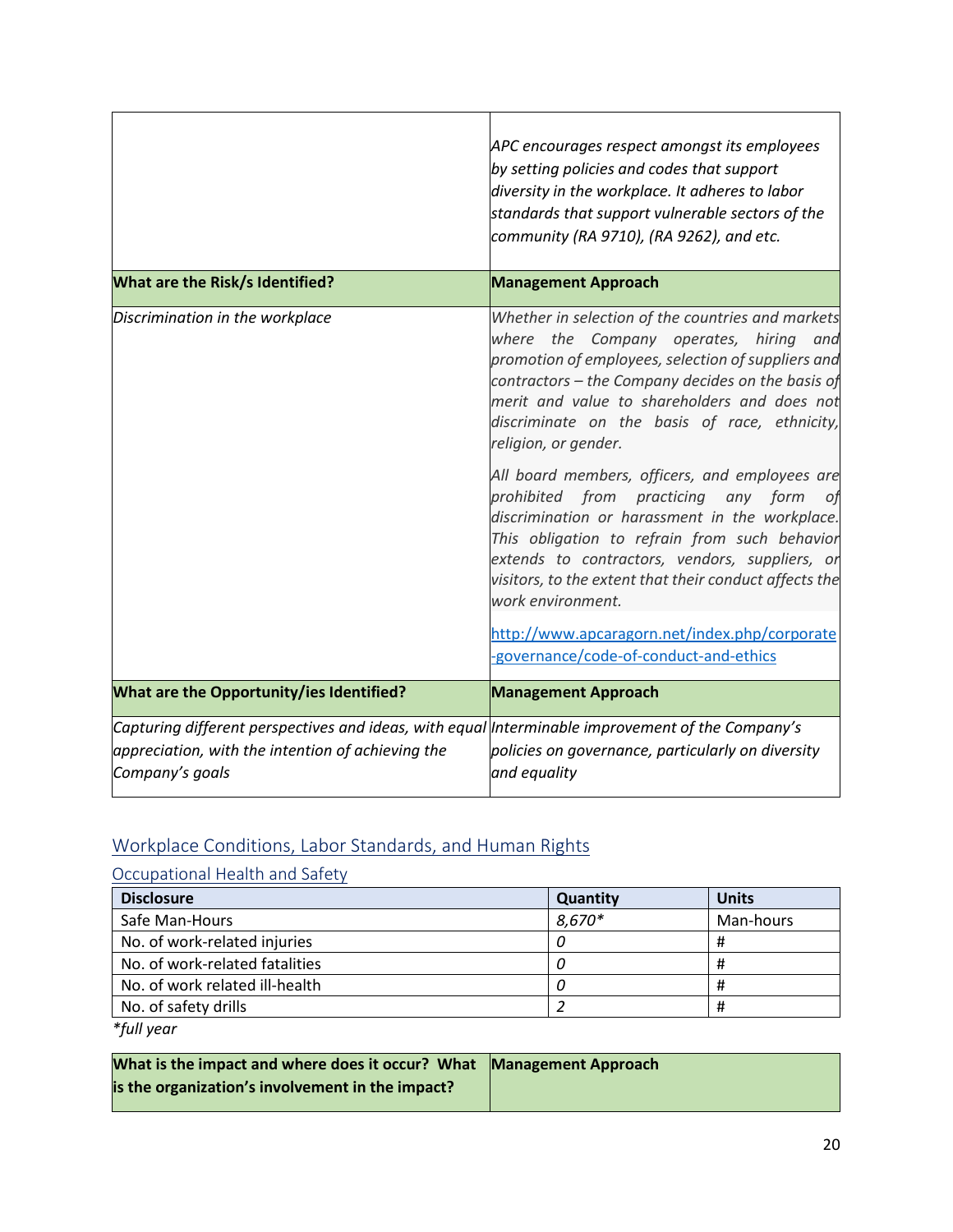|                                                                                                                                                                          | APC encourages respect amongst its employees<br>by setting policies and codes that support<br>diversity in the workplace. It adheres to labor<br>standards that support vulnerable sectors of the<br>community (RA 9710), (RA 9262), and etc.                                                                                                                                                                                                                                                                                              |
|--------------------------------------------------------------------------------------------------------------------------------------------------------------------------|--------------------------------------------------------------------------------------------------------------------------------------------------------------------------------------------------------------------------------------------------------------------------------------------------------------------------------------------------------------------------------------------------------------------------------------------------------------------------------------------------------------------------------------------|
| What are the Risk/s Identified?                                                                                                                                          | <b>Management Approach</b>                                                                                                                                                                                                                                                                                                                                                                                                                                                                                                                 |
| Discrimination in the workplace                                                                                                                                          | Whether in selection of the countries and markets<br>where the Company operates, hiring<br>and<br>promotion of employees, selection of suppliers and<br>contractors – the Company decides on the basis of<br>merit and value to shareholders and does not<br>discriminate on the basis of race, ethnicity,<br>religion, or gender.<br>All board members, officers, and employees are<br>prohibited from<br>practicing<br>any form<br>οf<br>discrimination or harassment in the workplace.<br>This obligation to refrain from such behavior |
|                                                                                                                                                                          | extends to contractors, vendors, suppliers, or<br>visitors, to the extent that their conduct affects the<br>work environment.                                                                                                                                                                                                                                                                                                                                                                                                              |
|                                                                                                                                                                          | http://www.apcaragorn.net/index.php/corporate<br>-governance/code-of-conduct-and-ethics                                                                                                                                                                                                                                                                                                                                                                                                                                                    |
| What are the Opportunity/ies Identified?                                                                                                                                 | <b>Management Approach</b>                                                                                                                                                                                                                                                                                                                                                                                                                                                                                                                 |
| Capturing different perspectives and ideas, with equal Interminable improvement of the Company's<br>appreciation, with the intention of achieving the<br>Company's goals | policies on governance, particularly on diversity<br>and equality                                                                                                                                                                                                                                                                                                                                                                                                                                                                          |

# Workplace Conditions, Labor Standards, and Human Rights

### Occupational Health and Safety

| <b>Disclosure</b>              | Quantity | <b>Units</b> |
|--------------------------------|----------|--------------|
| Safe Man-Hours                 | 8,670*   | Man-hours    |
| No. of work-related injuries   |          | π            |
| No. of work-related fatalities |          | π            |
| No. of work related ill-health |          | Ħ            |
| No. of safety drills           |          | Ħ            |

*\*full year*

| What is the impact and where does it occur? What Management Approach |  |
|----------------------------------------------------------------------|--|
| is the organization's involvement in the impact?                     |  |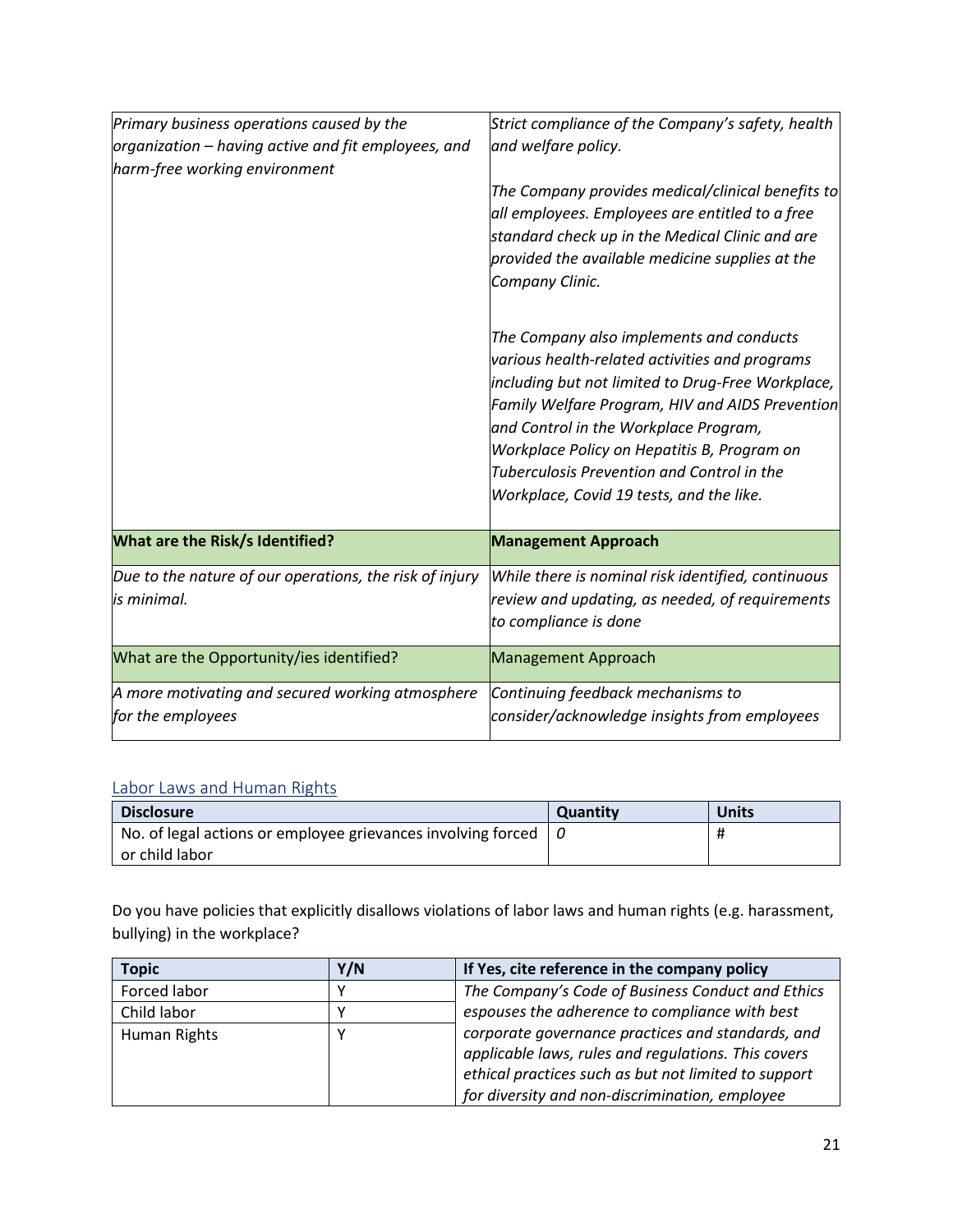| Primary business operations caused by the<br>organization – having active and fit employees, and<br>harm-free working environment | Strict compliance of the Company's safety, health<br>and welfare policy.<br>The Company provides medical/clinical benefits to<br>all employees. Employees are entitled to a free<br>standard check up in the Medical Clinic and are<br>provided the available medicine supplies at the<br>Company Clinic.<br>The Company also implements and conducts<br>various health-related activities and programs |
|-----------------------------------------------------------------------------------------------------------------------------------|---------------------------------------------------------------------------------------------------------------------------------------------------------------------------------------------------------------------------------------------------------------------------------------------------------------------------------------------------------------------------------------------------------|
|                                                                                                                                   | including but not limited to Drug-Free Workplace,<br>Family Welfare Program, HIV and AIDS Prevention<br>and Control in the Workplace Program,<br>Workplace Policy on Hepatitis B, Program on<br><b>Tuberculosis Prevention and Control in the</b><br>Workplace, Covid 19 tests, and the like.                                                                                                           |
| <b>What are the Risk/s Identified?</b>                                                                                            | <b>Management Approach</b>                                                                                                                                                                                                                                                                                                                                                                              |
| Due to the nature of our operations, the risk of injury<br>is minimal.                                                            | While there is nominal risk identified, continuous<br>review and updating, as needed, of requirements<br>to compliance is done                                                                                                                                                                                                                                                                          |
| What are the Opportunity/ies identified?                                                                                          | <b>Management Approach</b>                                                                                                                                                                                                                                                                                                                                                                              |
| A more motivating and secured working atmosphere<br>for the employees                                                             | Continuing feedback mechanisms to<br>consider/acknowledge insights from employees                                                                                                                                                                                                                                                                                                                       |

### Labor Laws and Human Rights

| <b>Disclosure</b>                                            | <b>Quantity</b> | <b>Units</b> |
|--------------------------------------------------------------|-----------------|--------------|
| No. of legal actions or employee grievances involving forced |                 | Ħ            |
| or child labor                                               |                 |              |

Do you have policies that explicitly disallows violations of labor laws and human rights (e.g. harassment, bullying) in the workplace?

| <b>Topic</b> | Y/N | If Yes, cite reference in the company policy                                                             |
|--------------|-----|----------------------------------------------------------------------------------------------------------|
| Forced labor |     | The Company's Code of Business Conduct and Ethics                                                        |
| Child labor  |     | espouses the adherence to compliance with best                                                           |
| Human Rights |     | corporate governance practices and standards, and<br>applicable laws, rules and regulations. This covers |
|              |     | ethical practices such as but not limited to support                                                     |
|              |     | for diversity and non-discrimination, employee                                                           |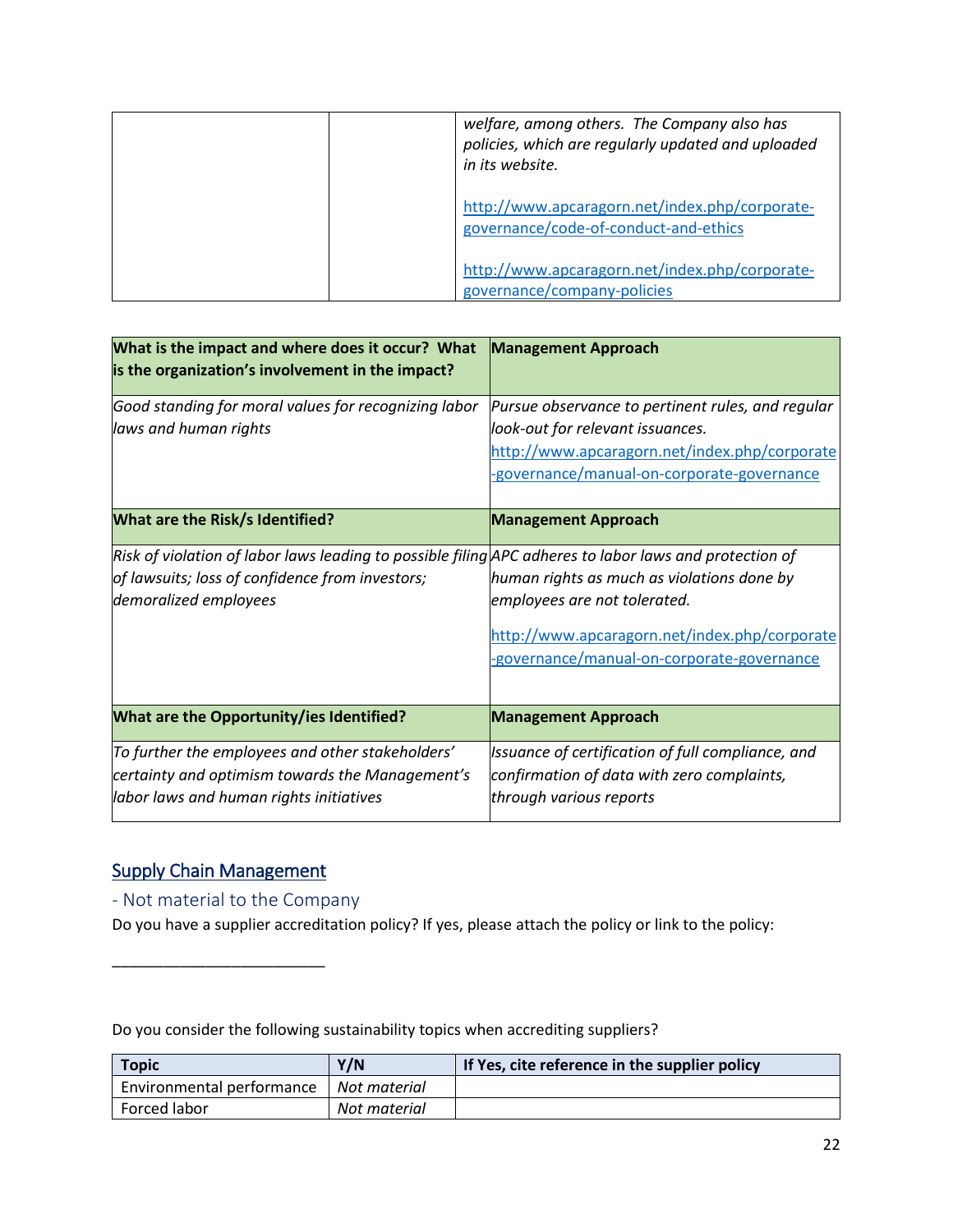| welfare, among others. The Company also has<br>policies, which are regularly updated and uploaded<br>in its website. |
|----------------------------------------------------------------------------------------------------------------------|
| http://www.apcaragorn.net/index.php/corporate-<br>governance/code-of-conduct-and-ethics                              |
| http://www.apcaragorn.net/index.php/corporate-<br>governance/company-policies                                        |

| What is the impact and where does it occur? What<br>is the organization's involvement in the impact?                                                                               | <b>Management Approach</b>                                                                                                                                                           |
|------------------------------------------------------------------------------------------------------------------------------------------------------------------------------------|--------------------------------------------------------------------------------------------------------------------------------------------------------------------------------------|
| Good standing for moral values for recognizing labor<br>laws and human rights                                                                                                      | Pursue observance to pertinent rules, and regular<br>look-out for relevant issuances.<br>http://www.apcaragorn.net/index.php/corporate<br>-governance/manual-on-corporate-governance |
| <b>What are the Risk/s Identified?</b>                                                                                                                                             | <b>Management Approach</b>                                                                                                                                                           |
| Risk of violation of labor laws leading to possible filing APC adheres to labor laws and protection of<br>of lawsuits; loss of confidence from investors;<br>demoralized employees | human rights as much as violations done by<br>employees are not tolerated.<br>http://www.apcaragorn.net/index.php/corporate<br>-governance/manual-on-corporate-governance            |
| What are the Opportunity/ies Identified?                                                                                                                                           | <b>Management Approach</b>                                                                                                                                                           |
| To further the employees and other stakeholders'<br>certainty and optimism towards the Management's<br>labor laws and human rights initiatives                                     | Issuance of certification of full compliance, and<br>confirmation of data with zero complaints,<br>through various reports                                                           |

### Supply Chain Management

\_\_\_\_\_\_\_\_\_\_\_\_\_\_\_\_\_\_\_\_\_\_\_\_\_

- Not material to the Company

Do you have a supplier accreditation policy? If yes, please attach the policy or link to the policy:

Do you consider the following sustainability topics when accrediting suppliers?

| <b>Topic</b>                             | Y/N          | If Yes, cite reference in the supplier policy |
|------------------------------------------|--------------|-----------------------------------------------|
| Environmental performance   Not material |              |                                               |
| Forced labor                             | Not material |                                               |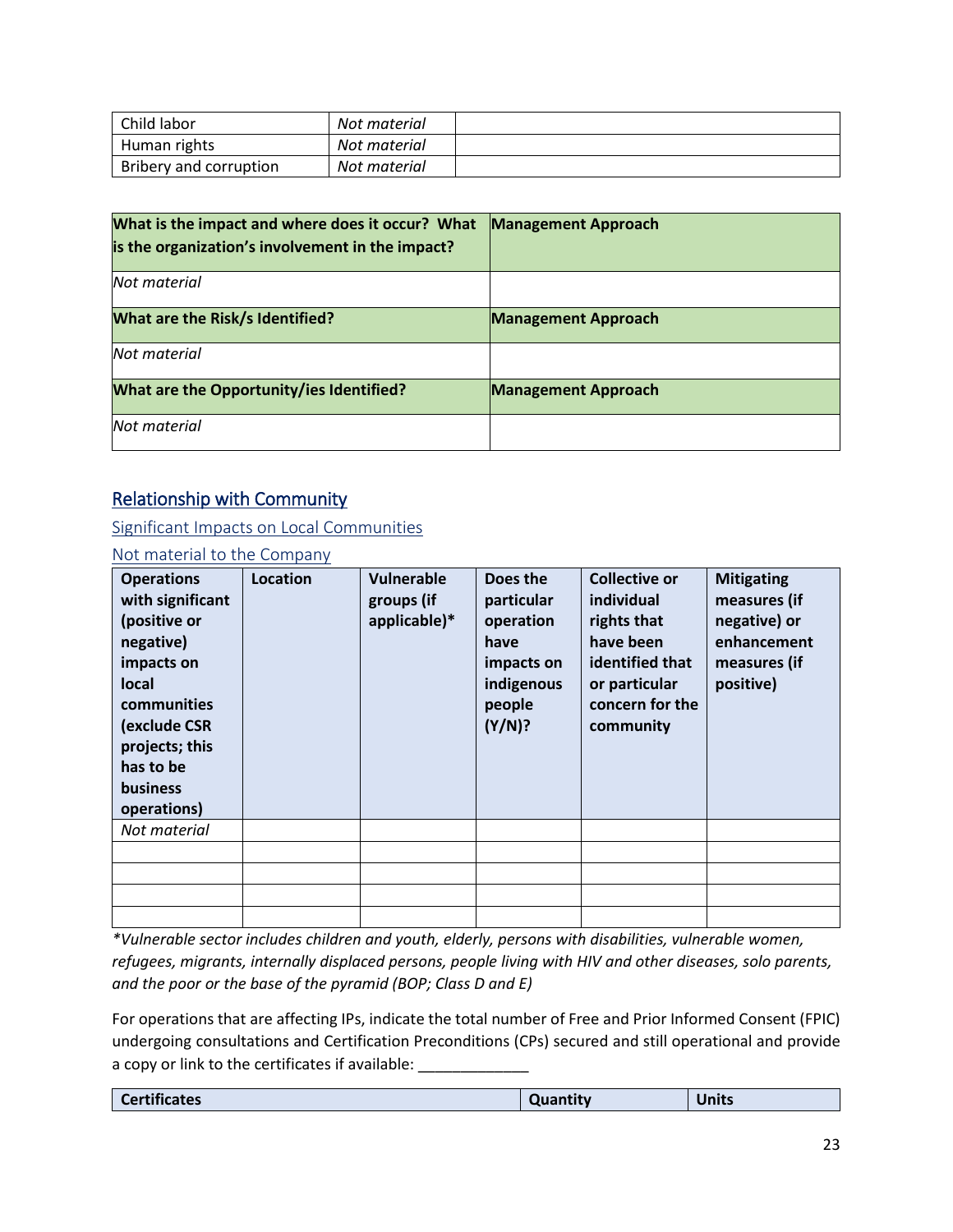| Child labor            | Not material |  |
|------------------------|--------------|--|
| Human rights           | Not material |  |
| Bribery and corruption | Not material |  |

| What is the impact and where does it occur? What<br>is the organization's involvement in the impact? | <b>Management Approach</b> |
|------------------------------------------------------------------------------------------------------|----------------------------|
| Not material                                                                                         |                            |
| <b>What are the Risk/s Identified?</b>                                                               | <b>Management Approach</b> |
| Not material                                                                                         |                            |
| What are the Opportunity/ies Identified?                                                             | <b>Management Approach</b> |
| Not material                                                                                         |                            |

### Relationship with Community

Significant Impacts on Local Communities

### Not material to the Company

| <b>Operations</b><br>with significant<br>(positive or<br>negative)<br>impacts on<br>local<br>communities<br>(exclude CSR<br>projects; this<br>has to be<br><b>business</b><br>operations) | Location | <b>Vulnerable</b><br>groups (if<br>applicable)* | Does the<br>particular<br>operation<br>have<br>impacts on<br>indigenous<br>people<br>(Y/N)? | <b>Collective or</b><br>individual<br>rights that<br>have been<br>identified that<br>or particular<br>concern for the<br>community | <b>Mitigating</b><br>measures (if<br>negative) or<br>enhancement<br>measures (if<br>positive) |
|-------------------------------------------------------------------------------------------------------------------------------------------------------------------------------------------|----------|-------------------------------------------------|---------------------------------------------------------------------------------------------|------------------------------------------------------------------------------------------------------------------------------------|-----------------------------------------------------------------------------------------------|
| Not material                                                                                                                                                                              |          |                                                 |                                                                                             |                                                                                                                                    |                                                                                               |
|                                                                                                                                                                                           |          |                                                 |                                                                                             |                                                                                                                                    |                                                                                               |
|                                                                                                                                                                                           |          |                                                 |                                                                                             |                                                                                                                                    |                                                                                               |
|                                                                                                                                                                                           |          |                                                 |                                                                                             |                                                                                                                                    |                                                                                               |
|                                                                                                                                                                                           |          |                                                 |                                                                                             |                                                                                                                                    |                                                                                               |

*\*Vulnerable sector includes children and youth, elderly, persons with disabilities, vulnerable women, refugees, migrants, internally displaced persons, people living with HIV and other diseases, solo parents, and the poor or the base of the pyramid (BOP; Class D and E)*

For operations that are affecting IPs, indicate the total number of Free and Prior Informed Consent (FPIC) undergoing consultations and Certification Preconditions (CPs) secured and still operational and provide a copy or link to the certificates if available: \_\_\_\_\_\_\_\_\_\_\_\_

| cates<br><b>PHILP</b><br>$-$ |
|------------------------------|
|------------------------------|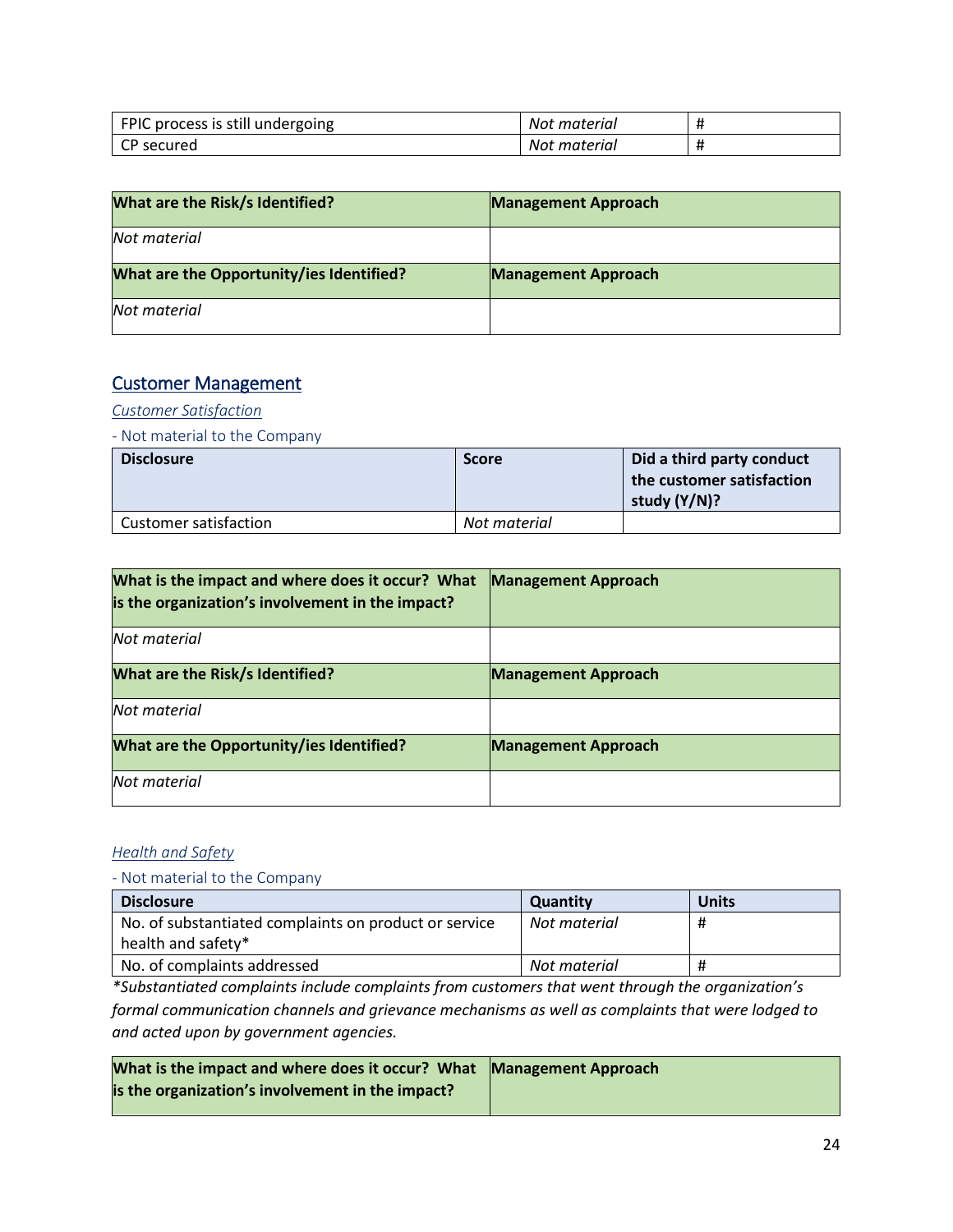| FPIC process is still undergoing | Not material |  |
|----------------------------------|--------------|--|
| CP secured                       | Not material |  |

| What are the Risk/s Identified?          | <b>Management Approach</b> |
|------------------------------------------|----------------------------|
| Not material                             |                            |
| What are the Opportunity/ies Identified? | <b>Management Approach</b> |
| Not material                             |                            |

### Customer Management

### *Customer Satisfaction*

- Not material to the Company

| <b>Disclosure</b>            | <b>Score</b> | Did a third party conduct<br>the customer satisfaction<br>study (Y/N)? |
|------------------------------|--------------|------------------------------------------------------------------------|
| <b>Customer satisfaction</b> | Not material |                                                                        |

| What is the impact and where does it occur? What<br>is the organization's involvement in the impact? | <b>Management Approach</b> |
|------------------------------------------------------------------------------------------------------|----------------------------|
| Not material                                                                                         |                            |
| <b>What are the Risk/s Identified?</b>                                                               | <b>Management Approach</b> |
| Not material                                                                                         |                            |
| What are the Opportunity/ies Identified?                                                             | <b>Management Approach</b> |
| Not material                                                                                         |                            |

### *Health and Safety*

### *-* Not material to the Company

| <b>Disclosure</b>                                     | <b>Quantity</b> | <b>Units</b> |
|-------------------------------------------------------|-----------------|--------------|
| No. of substantiated complaints on product or service | Not material    | #            |
| health and safety*                                    |                 |              |
| No. of complaints addressed                           | Not material    | #            |

*\*Substantiated complaints include complaints from customers that went through the organization's formal communication channels and grievance mechanisms as well as complaints that were lodged to and acted upon by government agencies.*

| What is the impact and where does it occur? What Management Approach |  |
|----------------------------------------------------------------------|--|
| is the organization's involvement in the impact?                     |  |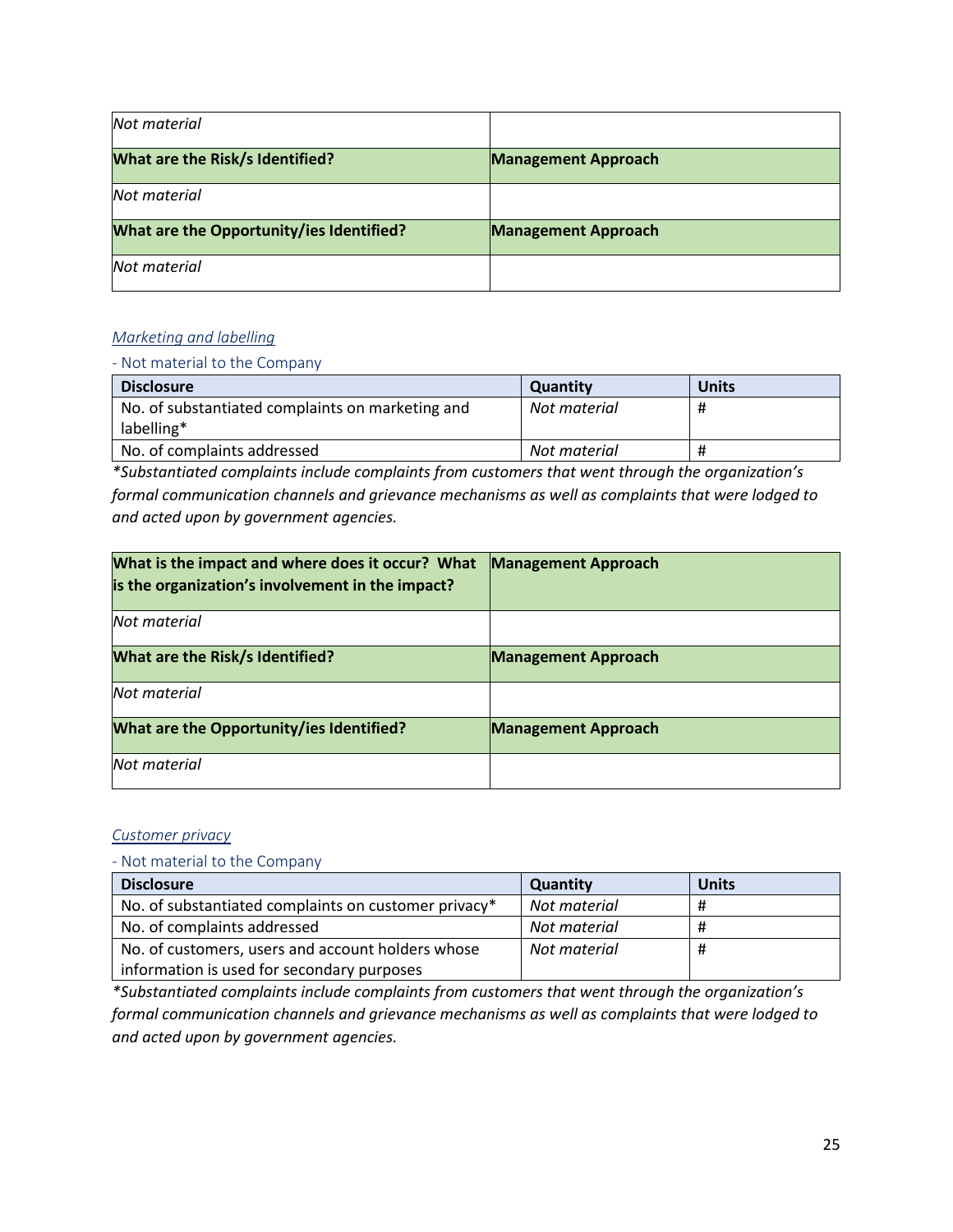| Not material                             |                            |
|------------------------------------------|----------------------------|
| <b>What are the Risk/s Identified?</b>   | <b>Management Approach</b> |
| Not material                             |                            |
| What are the Opportunity/ies Identified? | <b>Management Approach</b> |
| Not material                             |                            |

### *Marketing and labelling*

#### - Not material to the Company

| <b>Disclosure</b>                                | <b>Quantity</b> | <b>Units</b> |
|--------------------------------------------------|-----------------|--------------|
| No. of substantiated complaints on marketing and | Not material    | Ħ            |
| labelling*                                       |                 |              |
| No. of complaints addressed                      | Not material    | Ħ            |

*\*Substantiated complaints include complaints from customers that went through the organization's formal communication channels and grievance mechanisms as well as complaints that were lodged to and acted upon by government agencies.*

| What is the impact and where does it occur? What<br>is the organization's involvement in the impact? | <b>Management Approach</b> |
|------------------------------------------------------------------------------------------------------|----------------------------|
| Not material                                                                                         |                            |
| <b>What are the Risk/s Identified?</b>                                                               | <b>Management Approach</b> |
| Not material                                                                                         |                            |
| What are the Opportunity/ies Identified?                                                             | <b>Management Approach</b> |
| Not material                                                                                         |                            |

### *Customer privacy*

#### - Not material to the Company

| <b>Disclosure</b>                                    | Quantity     | <b>Units</b> |
|------------------------------------------------------|--------------|--------------|
| No. of substantiated complaints on customer privacy* | Not material | #            |
| No. of complaints addressed                          | Not material | Ħ            |
| No. of customers, users and account holders whose    | Not material | #            |
| information is used for secondary purposes           |              |              |

*\*Substantiated complaints include complaints from customers that went through the organization's formal communication channels and grievance mechanisms as well as complaints that were lodged to and acted upon by government agencies.*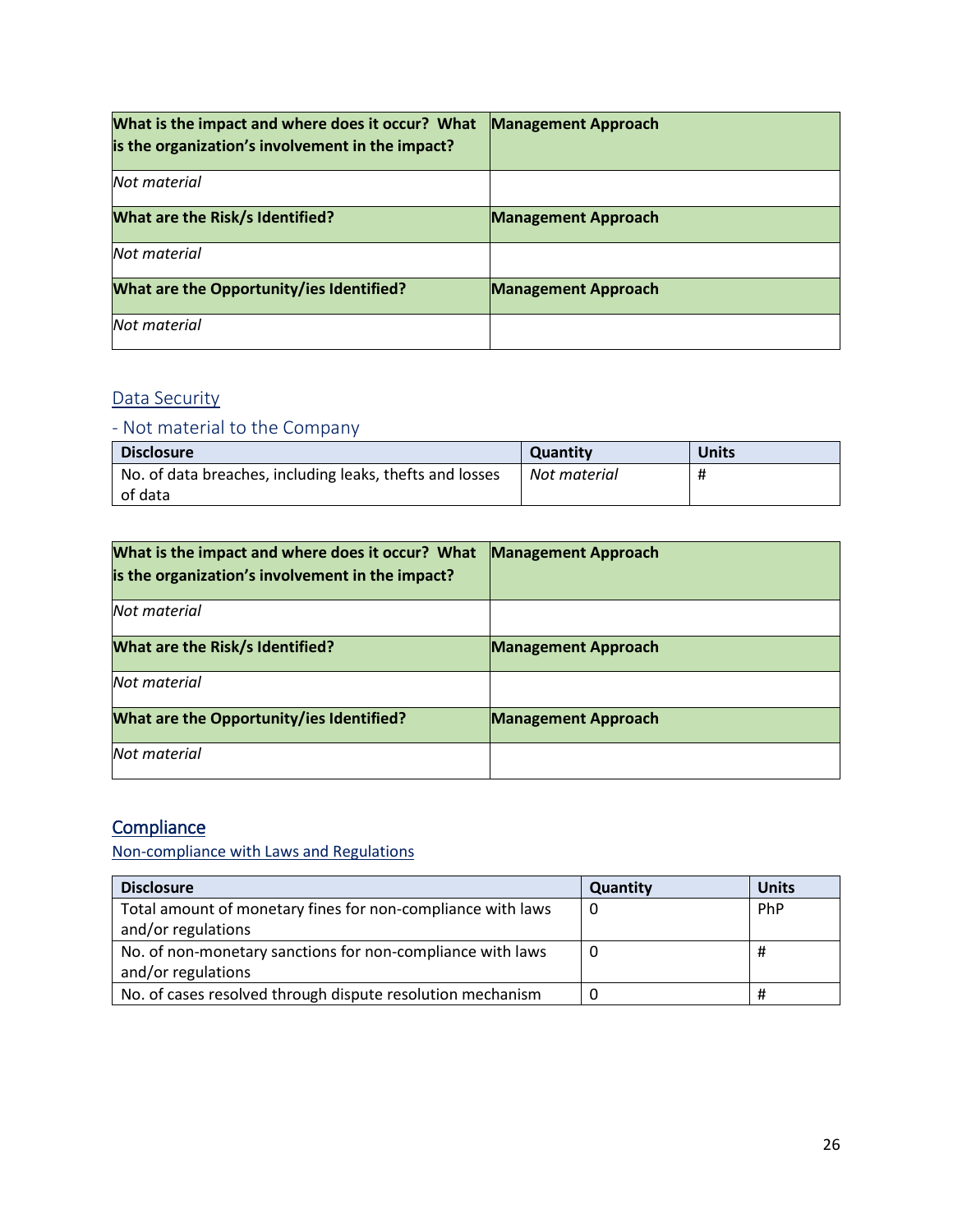| What is the impact and where does it occur? What<br>is the organization's involvement in the impact? | <b>Management Approach</b> |
|------------------------------------------------------------------------------------------------------|----------------------------|
| Not material                                                                                         |                            |
| <b>What are the Risk/s Identified?</b>                                                               | <b>Management Approach</b> |
| Not material                                                                                         |                            |
| What are the Opportunity/ies Identified?                                                             | <b>Management Approach</b> |
| Not material                                                                                         |                            |

# Data Security

# - Not material to the Company

| <b>Disclosure</b>                                        | <b>Quantity</b> | <b>Units</b> |
|----------------------------------------------------------|-----------------|--------------|
| No. of data breaches, including leaks, thefts and losses | Not material    | Ħ            |
| of data                                                  |                 |              |

| What is the impact and where does it occur? What<br>is the organization's involvement in the impact? | <b>Management Approach</b> |
|------------------------------------------------------------------------------------------------------|----------------------------|
| Not material                                                                                         |                            |
| <b>What are the Risk/s Identified?</b>                                                               | <b>Management Approach</b> |
| Not material                                                                                         |                            |
| What are the Opportunity/ies Identified?                                                             | <b>Management Approach</b> |
| Not material                                                                                         |                            |

# **Compliance**

[Non-compliance with Laws and Regulations](#page-10-1)

| <b>Disclosure</b>                                           | <b>Quantity</b> | <b>Units</b> |
|-------------------------------------------------------------|-----------------|--------------|
| Total amount of monetary fines for non-compliance with laws |                 | PhP          |
| and/or regulations                                          |                 |              |
| No. of non-monetary sanctions for non-compliance with laws  | 0               | #            |
| and/or regulations                                          |                 |              |
| No. of cases resolved through dispute resolution mechanism  |                 | Ħ            |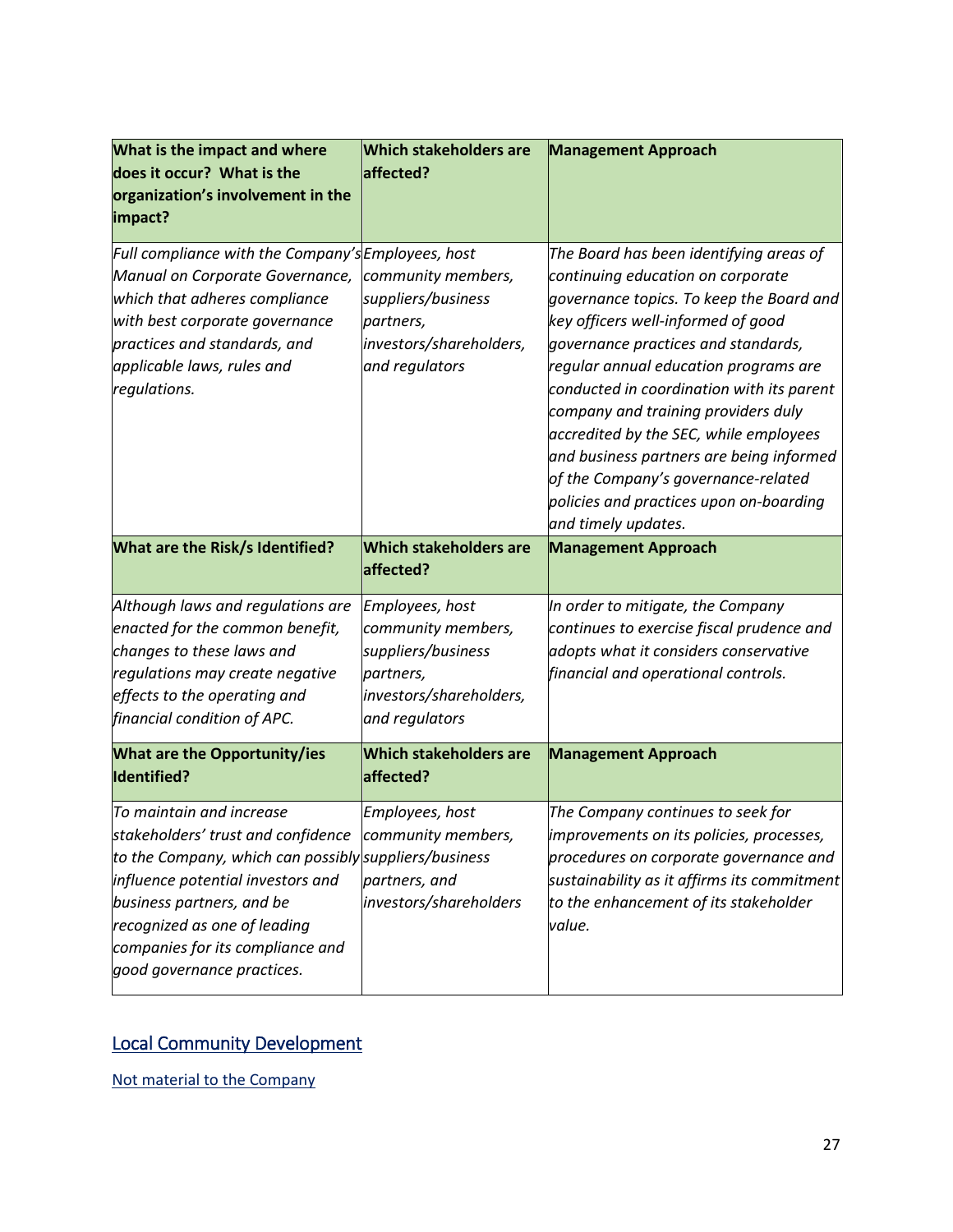| What is the impact and where<br>does it occur? What is the<br>organization's involvement in the<br>impact?                                                                                                                                                                       | <b>Which stakeholders are</b><br>affected?                                                                            | <b>Management Approach</b>                                                                                                                                                                                                                                                                                                                                                                                                                                                                                                        |
|----------------------------------------------------------------------------------------------------------------------------------------------------------------------------------------------------------------------------------------------------------------------------------|-----------------------------------------------------------------------------------------------------------------------|-----------------------------------------------------------------------------------------------------------------------------------------------------------------------------------------------------------------------------------------------------------------------------------------------------------------------------------------------------------------------------------------------------------------------------------------------------------------------------------------------------------------------------------|
| Full compliance with the Company's Employees, host<br>Manual on Corporate Governance,<br>which that adheres compliance<br>with best corporate governance<br>practices and standards, and<br>applicable laws, rules and<br>regulations.                                           | community members,<br>suppliers/business<br>partners,<br>investors/shareholders,<br>and regulators                    | The Board has been identifying areas of<br>continuing education on corporate<br>governance topics. To keep the Board and<br>key officers well-informed of good<br>governance practices and standards,<br>regular annual education programs are<br>conducted in coordination with its parent<br>company and training providers duly<br>accredited by the SEC, while employees<br>and business partners are being informed<br>of the Company's governance-related<br>policies and practices upon on-boarding<br>and timely updates. |
| What are the Risk/s Identified?                                                                                                                                                                                                                                                  | <b>Which stakeholders are</b><br>affected?                                                                            | <b>Management Approach</b>                                                                                                                                                                                                                                                                                                                                                                                                                                                                                                        |
| Although laws and regulations are<br>enacted for the common benefit,<br>changes to these laws and<br>regulations may create negative<br>effects to the operating and<br>financial condition of APC.                                                                              | Employees, host<br>community members,<br>suppliers/business<br>partners,<br>investors/shareholders,<br>and regulators | In order to mitigate, the Company<br>continues to exercise fiscal prudence and<br>adopts what it considers conservative<br>financial and operational controls.                                                                                                                                                                                                                                                                                                                                                                    |
| <b>What are the Opportunity/ies</b><br>Identified?                                                                                                                                                                                                                               | <b>Which stakeholders are</b><br>affected?                                                                            | <b>Management Approach</b>                                                                                                                                                                                                                                                                                                                                                                                                                                                                                                        |
| To maintain and increase<br>stakeholders' trust and confidence community members,<br>to the Company, which can possibly suppliers/business<br>influence potential investors and<br>business partners, and be<br>recognized as one of leading<br>companies for its compliance and | Employees, host<br>partners, and<br>investors/shareholders                                                            | The Company continues to seek for<br>improvements on its policies, processes,<br>procedures on corporate governance and<br>sustainability as it affirms its commitment<br>to the enhancement of its stakeholder                                                                                                                                                                                                                                                                                                                   |

# Local Community Development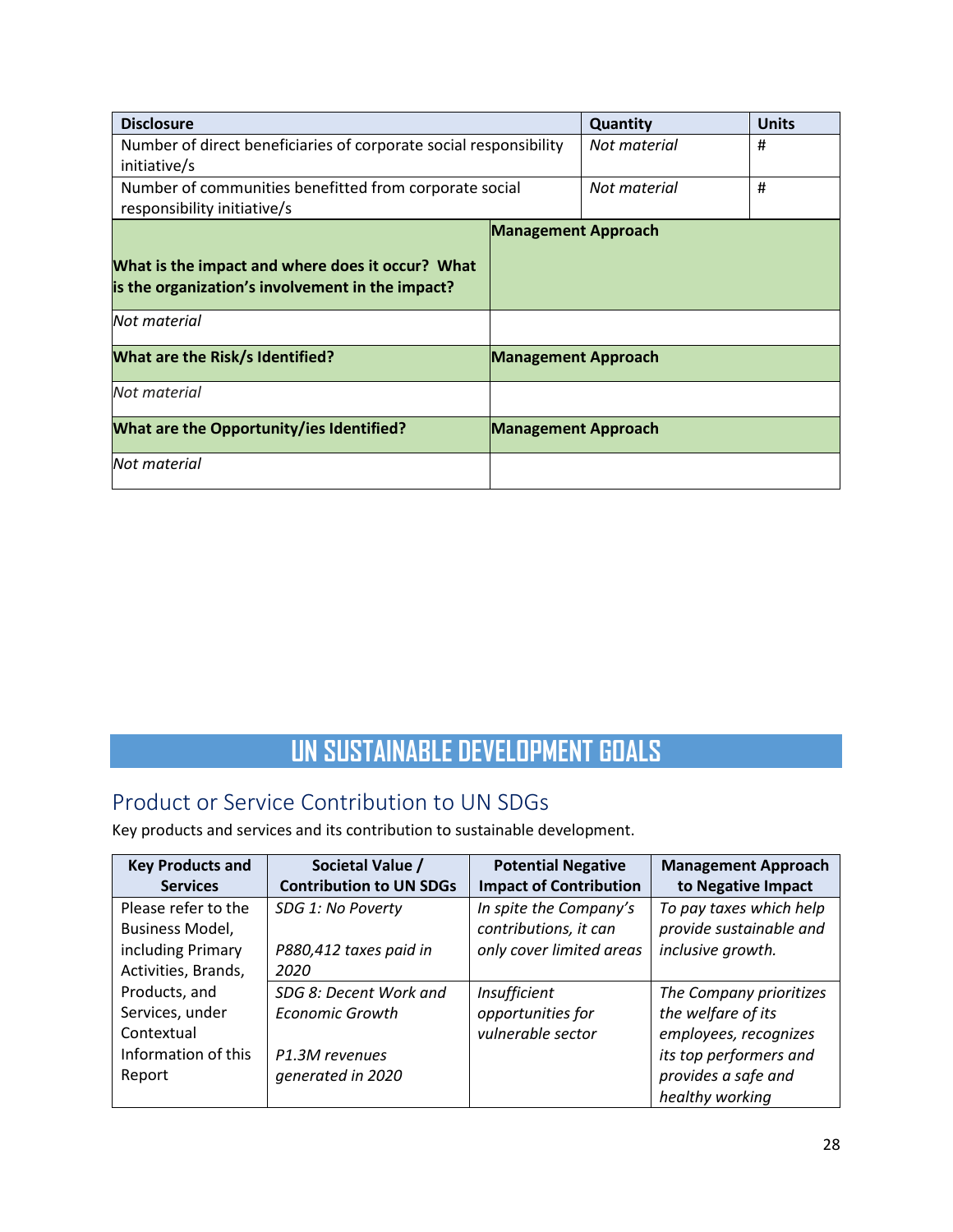| <b>Disclosure</b>                                                                                    |                            | Quantity     | <b>Units</b> |
|------------------------------------------------------------------------------------------------------|----------------------------|--------------|--------------|
| Number of direct beneficiaries of corporate social responsibility                                    |                            | Not material | #            |
| initiative/s                                                                                         |                            |              |              |
| Number of communities benefitted from corporate social                                               |                            | Not material | #            |
| responsibility initiative/s                                                                          |                            |              |              |
|                                                                                                      | <b>Management Approach</b> |              |              |
| What is the impact and where does it occur? What<br>is the organization's involvement in the impact? |                            |              |              |
| Not material                                                                                         |                            |              |              |
| <b>What are the Risk/s Identified?</b>                                                               | <b>Management Approach</b> |              |              |
| Not material                                                                                         |                            |              |              |
| What are the Opportunity/ies Identified?                                                             | <b>Management Approach</b> |              |              |
| Not material                                                                                         |                            |              |              |

# **UN SUSTAINABLE DEVELOPMENT GOALS**

# Product or Service Contribution to UN SDGs

Key products and services and its contribution to sustainable development.

| <b>Key Products and</b> | Societal Value /               | <b>Potential Negative</b>     | <b>Management Approach</b> |
|-------------------------|--------------------------------|-------------------------------|----------------------------|
| <b>Services</b>         | <b>Contribution to UN SDGs</b> | <b>Impact of Contribution</b> | to Negative Impact         |
| Please refer to the     | SDG 1: No Poverty              | In spite the Company's        | To pay taxes which help    |
| Business Model,         |                                | contributions, it can         | provide sustainable and    |
| including Primary       | P880,412 taxes paid in         | only cover limited areas      | inclusive growth.          |
| Activities, Brands,     | 2020                           |                               |                            |
| Products, and           | SDG 8: Decent Work and         | Insufficient                  | The Company prioritizes    |
| Services, under         | <b>Economic Growth</b>         | opportunities for             | the welfare of its         |
| Contextual              |                                | vulnerable sector             | employees, recognizes      |
| Information of this     | P1.3M revenues                 |                               | its top performers and     |
| Report                  | generated in 2020              |                               | provides a safe and        |
|                         |                                |                               | healthy working            |